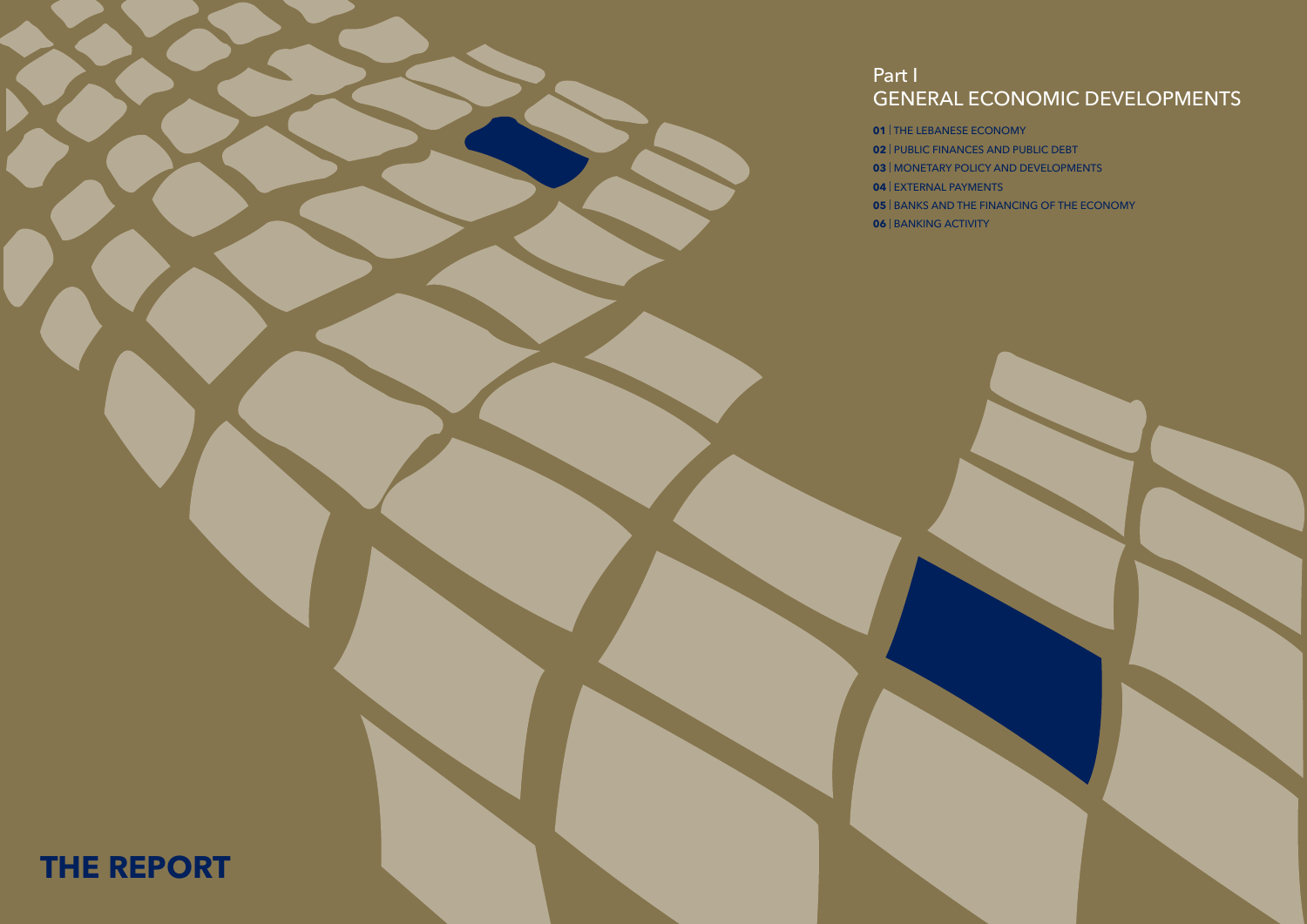# Part I

# GENERAL ECONOMIC DEVELOPMENTS



- 
- | MONETARY POLICY AND DEVELOPMENTS
	-
- | THE LEBANESE ECONOMY
- | PUBLIC FINANCES AND PUBLIC DEBT
- 
- | EXTERNAL PAYMENTS
- | BANKS AND THE FINANCING OF THE ECONOMY
- | BANKING ACTIVITY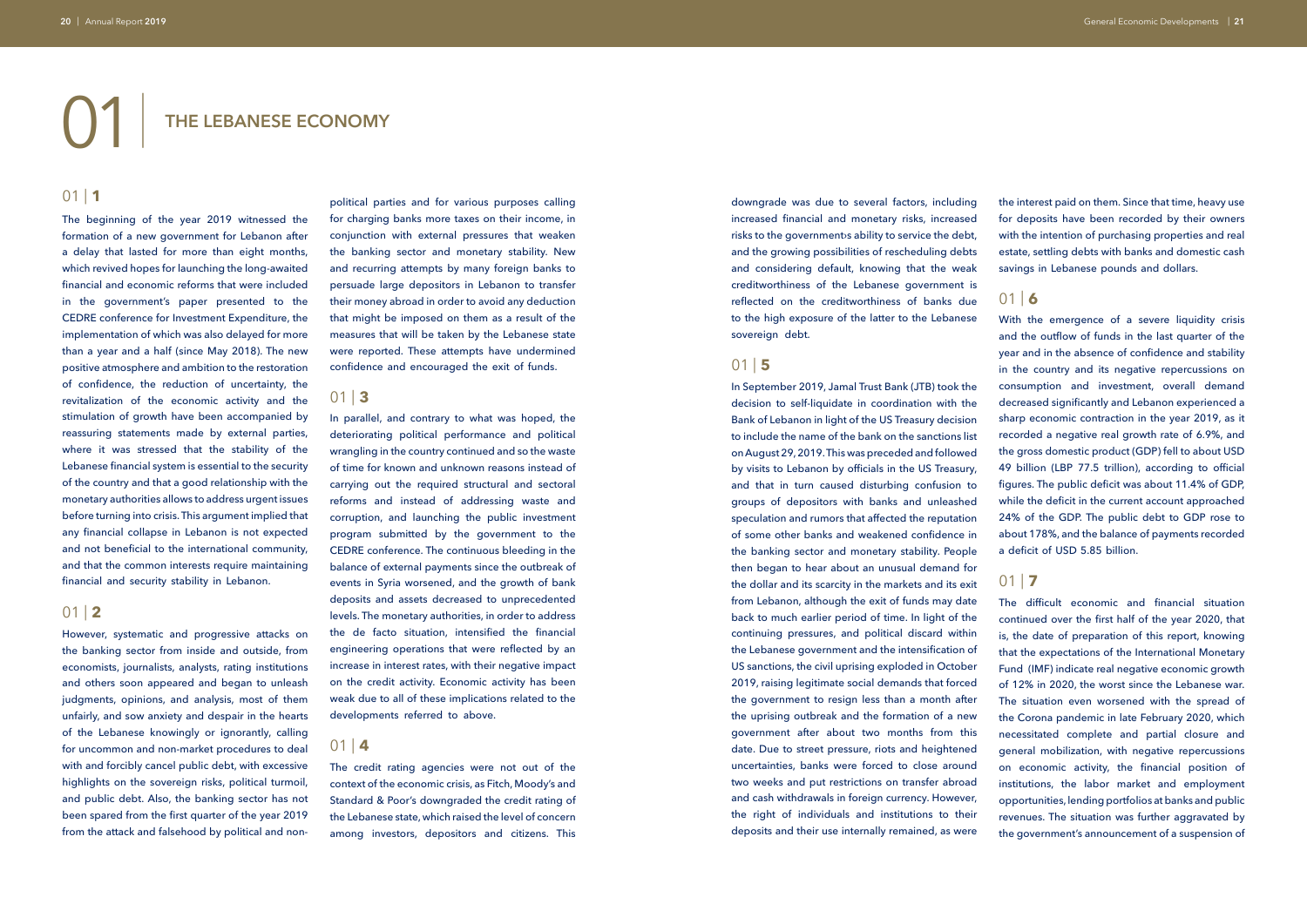# 01| **THE LEBANESE ECONOMY**

# $01$  | 1

The beginning of the year 2019 witnessed the formation of a new government for Lebanon after a delay that lasted for more than eight months, which revived hopes for launching the long-awaited financial and economic reforms that were included in the government's paper presented to the CEDRE conference for Investment Expenditure, the implementation of which was also delayed for more than a year and a half (since May 2018). The new positive atmosphere and ambition to the restoration of confidence, the reduction of uncertainty, the revitalization of the economic activity and the stimulation of growth have been accompanied by reassuring statements made by external parties, where it was stressed that the stability of the Lebanese financial system is essential to the security of the country and that a good relationship with the monetary authorities allows to address urgent issues before turning into crisis. This argument implied that any financial collapse in Lebanon is not expected and not beneficial to the international community, and that the common interests require maintaining financial and security stability in Lebanon.

### 01 | **2**

However, systematic and progressive attacks on the banking sector from inside and outside, from economists, journalists, analysts, rating institutions and others soon appeared and began to unleash judgments, opinions, and analysis, most of them unfairly, and sow anxiety and despair in the hearts of the Lebanese knowingly or ignorantly, calling for uncommon and non-market procedures to deal with and forcibly cancel public debt, with excessive highlights on the sovereign risks, political turmoil, and public debt. Also, the banking sector has not been spared from the first quarter of the year 2019 from the attack and falsehood by political and non-

political parties and for various purposes calling for charging banks more taxes on their income, in conjunction with external pressures that weaken the banking sector and monetary stability. New and recurring attempts by many foreign banks to persuade large depositors in Lebanon to transfer their money abroad in order to avoid any deduction that might be imposed on them as a result of the measures that will be taken by the Lebanese state were reported. These attempts have undermined confidence and encouraged the exit of funds.

### 01 | **3**

In parallel, and contrary to what was hoped, the deteriorating political performance and political wrangling in the country continued and so the waste of time for known and unknown reasons instead of carrying out the required structural and sectoral reforms and instead of addressing waste and corruption, and launching the public investment program submitted by the government to the CEDRE conference. The continuous bleeding in the balance of external payments since the outbreak of events in Syria worsened, and the growth of bank deposits and assets decreased to unprecedented levels. The monetary authorities, in order to address the de facto situation, intensified the financial engineering operations that were reflected by an increase in interest rates, with their negative impact on the credit activity. Economic activity has been weak due to all of these implications related to the developments referred to above.

### $01 | 4$

The credit rating agencies were not out of the context of the economic crisis, as Fitch, Moody's and Standard & Poor's downgraded the credit rating of the Lebanese state, which raised the level of concern among investors, depositors and citizens. This

downgrade was due to several factors, including increased financial and monetary risks, increased risks to the government is ability to service the debt, and the growing possibilities of rescheduling debts and considering default, knowing that the weak creditworthiness of the Lebanese government is reflected on the creditworthiness of banks due to the high exposure of the latter to the Lebanese sovereign debt.

### 01 | **5**

In September 2019, Jamal Trust Bank (JTB) took the decision to self-liquidate in coordination with the Bank of Lebanon in light of the US Treasury decision to include the name of the bank on the sanctions list on August 29, 2019. This was preceded and followed by visits to Lebanon by officials in the US Treasury, and that in turn caused disturbing confusion to groups of depositors with banks and unleashed speculation and rumors that affected the reputation of some other banks and weakened confidence in the banking sector and monetary stability. People then began to hear about an unusual demand for the dollar and its scarcity in the markets and its exit from Lebanon, although the exit of funds may date back to much earlier period of time. In light of the continuing pressures, and political discard within the Lebanese government and the intensification of US sanctions, the civil uprising exploded in October 2019, raising legitimate social demands that forced the government to resign less than a month after the uprising outbreak and the formation of a new government after about two months from this date. Due to street pressure, riots and heightened uncertainties, banks were forced to close around two weeks and put restrictions on transfer abroad and cash withdrawals in foreign currency. However, the right of individuals and institutions to their deposits and their use internally remained, as were

the interest paid on them. Since that time, heavy use for deposits have been recorded by their owners with the intention of purchasing properties and real estate, settling debts with banks and domestic cash savings in Lebanese pounds and dollars.

# $01$  | 6

With the emergence of a severe liquidity crisis and the outflow of funds in the last quarter of the year and in the absence of confidence and stability in the country and its negative repercussions on consumption and investment, overall demand decreased significantly and Lebanon experienced a sharp economic contraction in the year 2019, as it recorded a negative real growth rate of 6.9%, and the gross domestic product (GDP) fell to about USD 49 billion (LBP 77.5 trillion), according to official figures. The public deficit was about 11.4% of GDP, while the deficit in the current account approached 24% of the GDP. The public debt to GDP rose to about 178%, and the balance of payments recorded a deficit of USD 5.85 billion.

# $01$  | **7**

The difficult economic and financial situation continued over the first half of the year 2020, that is, the date of preparation of this report, knowing that the expectations of the International Monetary Fund (IMF) indicate real negative economic growth of 12% in 2020, the worst since the Lebanese war. The situation even worsened with the spread of the Corona pandemic in late February 2020, which necessitated complete and partial closure and general mobilization, with negative repercussions on economic activity, the financial position of institutions, the labor market and employment opportunities, lending portfolios at banks and public revenues. The situation was further aggravated by the government's announcement of a suspension of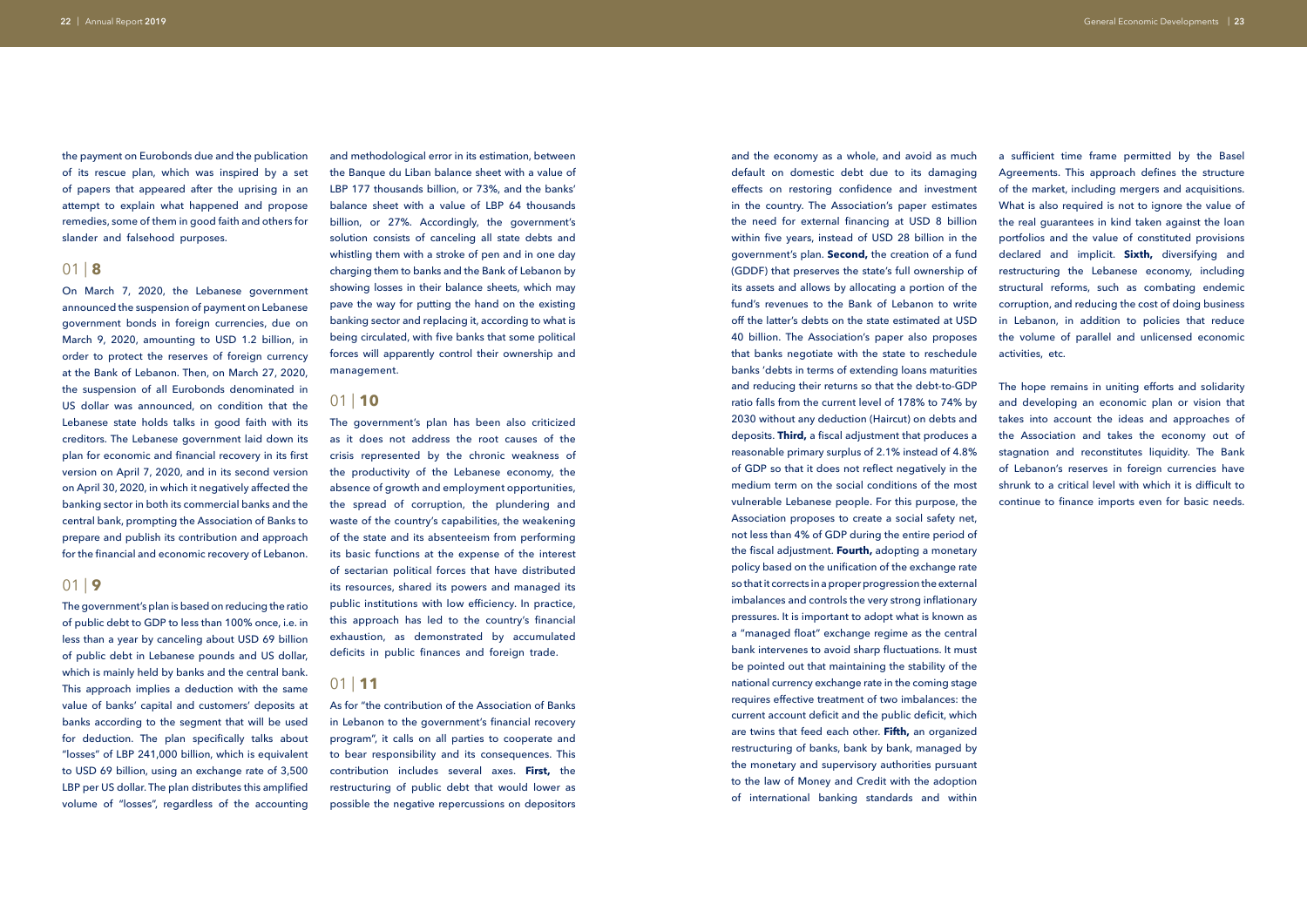the payment on Eurobonds due and the publication of its rescue plan, which was inspired by a set of papers that appeared after the uprising in an attempt to explain what happened and propose remedies, some of them in good faith and others for slander and falsehood purposes.

### 01 | **8**

On March 7, 2020, the Lebanese government announced the suspension of payment on Lebanese government bonds in foreign currencies, due on March 9, 2020, amounting to USD 1.2 billion, in order to protect the reserves of foreign currency at the Bank of Lebanon. Then, on March 27, 2020, the suspension of all Eurobonds denominated in US dollar was announced, on condition that the Lebanese state holds talks in good faith with its creditors. The Lebanese government laid down its plan for economic and financial recovery in its first version on April 7, 2020, and in its second version on April 30, 2020, in which it negatively affected the banking sector in both its commercial banks and the central bank, prompting the Association of Banks to prepare and publish its contribution and approach for the financial and economic recovery of Lebanon.

### 01 | **9**

The government's plan is based on reducing the ratio of public debt to GDP to less than 100% once, i.e. in less than a year by canceling about USD 69 billion of public debt in Lebanese pounds and US dollar, which is mainly held by banks and the central bank. This approach implies a deduction with the same value of banks' capital and customers' deposits at banks according to the segment that will be used for deduction. The plan specifically talks about "losses" of LBP 241,000 billion, which is equivalent to USD 69 billion, using an exchange rate of 3,500 LBP per US dollar. The plan distributes this amplified volume of "losses", regardless of the accounting

and methodological error in its estimation, between the Banque du Liban balance sheet with a value of LBP 177 thousands billion, or 73%, and the banks' balance sheet with a value of LBP 64 thousands billion, or 27%. Accordingly, the government's solution consists of canceling all state debts and whistling them with a stroke of pen and in one day charging them to banks and the Bank of Lebanon by showing losses in their balance sheets, which may pave the way for putting the hand on the existing banking sector and replacing it, according to what is being circulated, with five banks that some political forces will apparently control their ownership and management.

### 01 | **10**

The government's plan has been also criticized as it does not address the root causes of the crisis represented by the chronic weakness of the productivity of the Lebanese economy, the absence of growth and employment opportunities, the spread of corruption, the plundering and waste of the country's capabilities, the weakening of the state and its absenteeism from performing its basic functions at the expense of the interest of sectarian political forces that have distributed its resources, shared its powers and managed its public institutions with low efficiency. In practice, this approach has led to the country's financial exhaustion, as demonstrated by accumulated deficits in public finances and foreign trade.

### 01 | **11**

As for "the contribution of the Association of Banks in Lebanon to the government's financial recovery program", it calls on all parties to cooperate and to bear responsibility and its consequences. This contribution includes several axes. **First,** the restructuring of public debt that would lower as possible the negative repercussions on depositors

and the economy as a whole, and avoid as much default on domestic debt due to its damaging effects on restoring confidence and investment in the country. The Association's paper estimates the need for external financing at USD 8 billion within five years, instead of USD 28 billion in the government's plan. **Second,** the creation of a fund (GDDF) that preserves the state's full ownership of its assets and allows by allocating a portion of the fund's revenues to the Bank of Lebanon to write off the latter's debts on the state estimated at USD 40 billion. The Association's paper also proposes that banks negotiate with the state to reschedule banks 'debts in terms of extending loans maturities and reducing their returns so that the debt-to-GDP ratio falls from the current level of 178% to 74% by 2030 without any deduction (Haircut) on debts and deposits. **Third,** a fiscal adjustment that produces a reasonable primary surplus of 2.1% instead of 4.8% of GDP so that it does not reflect negatively in the medium term on the social conditions of the most vulnerable Lebanese people. For this purpose, the Association proposes to create a social safety net, not less than 4% of GDP during the entire period of the fiscal adjustment. **Fourth,** adopting a monetary policy based on the unification of the exchange rate so that it corrects in a proper progression the external imbalances and controls the very strong inflationary pressures. It is important to adopt what is known as a "managed float" exchange regime as the central bank intervenes to avoid sharp fluctuations. It must be pointed out that maintaining the stability of the national currency exchange rate in the coming stage requires effective treatment of two imbalances: the current account deficit and the public deficit, which are twins that feed each other. **Fifth,** an organized restructuring of banks, bank by bank, managed by the monetary and supervisory authorities pursuant to the law of Money and Credit with the adoption of international banking standards and within

a sufficient time frame permitted by the Basel Agreements. This approach defines the structure of the market, including mergers and acquisitions. What is also required is not to ignore the value of the real guarantees in kind taken against the loan portfolios and the value of constituted provisions declared and implicit. **Sixth,** diversifying and restructuring the Lebanese economy, including structural reforms, such as combating endemic corruption, and reducing the cost of doing business in Lebanon, in addition to policies that reduce the volume of parallel and unlicensed economic activities, etc.

The hope remains in uniting efforts and solidarity and developing an economic plan or vision that takes into account the ideas and approaches of the Association and takes the economy out of stagnation and reconstitutes liquidity. The Bank of Lebanon's reserves in foreign currencies have shrunk to a critical level with which it is difficult to continue to finance imports even for basic needs.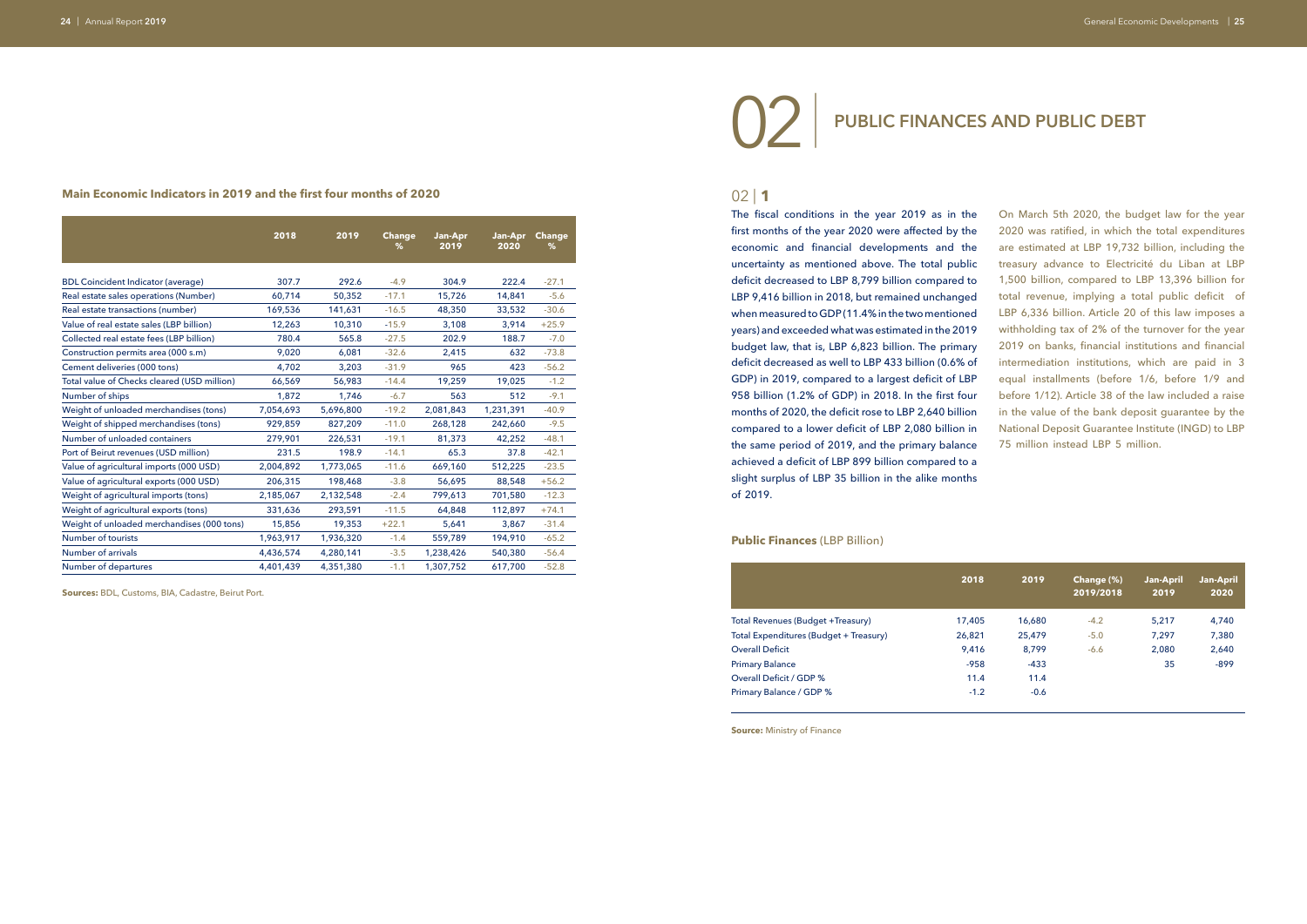### **Main Economic Indicators in 2019 and the first four months of 2020**

**Sources:** BDL, Customs, BIA, Cadastre, Beirut Port.

### $02$  | **1**

**Source:** Ministry of Finance

|                                             | 2018      | 2019      | <b>Change</b><br>℅ | Jan-Apr<br>2019 | Jan-Apr<br>2020 | <b>Change</b><br>% |  |
|---------------------------------------------|-----------|-----------|--------------------|-----------------|-----------------|--------------------|--|
|                                             |           |           |                    |                 |                 |                    |  |
| <b>BDL Coincident Indicator (average)</b>   | 307.7     | 292.6     | $-4.9$             | 304.9           | 222.4           | $-27.1$            |  |
| Real estate sales operations (Number)       | 60,714    | 50,352    | $-17.1$            | 15,726          | 14,841          | $-5.6$             |  |
| Real estate transactions (number)           | 169,536   | 141,631   | $-16.5$            | 48,350          | 33,532          | $-30.6$            |  |
| Value of real estate sales (LBP billion)    | 12,263    | 10,310    | $-15.9$            | 3,108           | 3,914           | $+25.9$            |  |
| Collected real estate fees (LBP billion)    | 780.4     | 565.8     | $-27.5$            | 202.9           | 188.7           | $-7.0$             |  |
| Construction permits area (000 s.m)         | 9,020     | 6,081     | $-32.6$            | 2,415           | 632             | $-73.8$            |  |
| Cement deliveries (000 tons)                | 4,702     | 3,203     | $-31.9$            | 965             | 423             | $-56.2$            |  |
| Total value of Checks cleared (USD million) | 66,569    | 56,983    | $-14.4$            | 19,259          | 19,025          | $-1.2$             |  |
| Number of ships                             | 1,872     | 1,746     | $-6.7$             | 563             | 512             | $-9.1$             |  |
| Weight of unloaded merchandises (tons)      | 7,054,693 | 5,696,800 | $-19.2$            | 2,081,843       | 1,231,391       | $-40.9$            |  |
| Weight of shipped merchandises (tons)       | 929,859   | 827,209   | $-11.0$            | 268,128         | 242,660         | $-9.5$             |  |
| Number of unloaded containers               | 279,901   | 226,531   | $-19.1$            | 81,373          | 42,252          | $-48.1$            |  |
| Port of Beirut revenues (USD million)       | 231.5     | 198.9     | $-14.1$            | 65.3            | 37.8            | $-42.1$            |  |
| Value of agricultural imports (000 USD)     | 2,004,892 | 1,773,065 | $-11.6$            | 669,160         | 512,225         | $-23.5$            |  |
| Value of agricultural exports (000 USD)     | 206,315   | 198,468   | $-3.8$             | 56,695          | 88,548          | $+56.2$            |  |
| Weight of agricultural imports (tons)       | 2,185,067 | 2,132,548 | $-2.4$             | 799,613         | 701,580         | $-12.3$            |  |
| Weight of agricultural exports (tons)       | 331,636   | 293,591   | $-11.5$            | 64,848          | 112,897         | $+74.1$            |  |
| Weight of unloaded merchandises (000 tons)  | 15,856    | 19,353    | $+22.1$            | 5,641           | 3,867           | $-31.4$            |  |
| <b>Number of tourists</b>                   | 1,963,917 | 1,936,320 | $-1.4$             | 559,789         | 194,910         | $-65.2$            |  |
| Number of arrivals                          | 4,436,574 | 4,280,141 | $-3.5$             | 1,238,426       | 540,380         | $-56.4$            |  |
| Number of departures                        | 4,401,439 | 4,351,380 | $-1.1$             | 1,307,752       | 617,700         | $-52.8$            |  |

# 02| **PUBLIC FINANCES AND PUBLIC DEBT**

The fiscal conditions in the year 2019 as in the first months of the year 2020 were affected by the economic and financial developments and the uncertainty as mentioned above. The total public deficit decreased to LBP 8,799 billion compared to LBP 9,416 billion in 2018, but remained unchanged when measured to GDP (11.4% in the two mentioned years) and exceeded what was estimated in the 2019 budget law, that is, LBP 6,823 billion. The primary deficit decreased as well to LBP 433 billion (0.6% of GDP) in 2019, compared to a largest deficit of LBP 958 billion (1.2% of GDP) in 2018. In the first four months of 2020, the deficit rose to LBP 2,640 billion compared to a lower deficit of LBP 2,080 billion in the same period of 2019, and the primary balance achieved a deficit of LBP 899 billion compared to a slight surplus of LBP 35 billion in the alike months of 2019.

On March 5th 2020, the budget law for the year 2020 was ratified, in which the total expenditures are estimated at LBP 19,732 billion, including the treasury advance to Electricité du Liban at LBP 1,500 billion, compared to LBP 13,396 billion for total revenue, implying a total public deficit of LBP 6,336 billion. Article 20 of this law imposes a withholding tax of 2% of the turnover for the year 2019 on banks, financial institutions and financial intermediation institutions, which are paid in 3 equal installments (before 1/6, before 1/9 and before 1/12). Article 38 of the law included a raise in the value of the bank deposit guarantee by the National Deposit Guarantee Institute (INGD) to LBP 75 million instead LBP 5 million.

### **Public Finances** (LBP Billion)

|                                        | 2018   | 2019   | Change (%)<br>2019/2018 | <b>Jan-April</b><br>2019 | <b>Jan-April</b><br>2020 |
|----------------------------------------|--------|--------|-------------------------|--------------------------|--------------------------|
| Total Revenues (Budget +Treasury)      | 17,405 | 16,680 | $-4.2$                  | 5,217                    | 4,740                    |
| Total Expenditures (Budget + Treasury) | 26,821 | 25,479 | $-5.0$                  | 7,297                    | 7,380                    |
| <b>Overall Deficit</b>                 | 9,416  | 8,799  | $-6.6$                  | 2,080                    | 2,640                    |
| <b>Primary Balance</b>                 | $-958$ | $-433$ |                         | 35                       | $-899$                   |
| Overall Deficit / GDP %                | 11.4   | 11.4   |                         |                          |                          |
| Primary Balance / GDP %                | $-1.2$ | $-0.6$ |                         |                          |                          |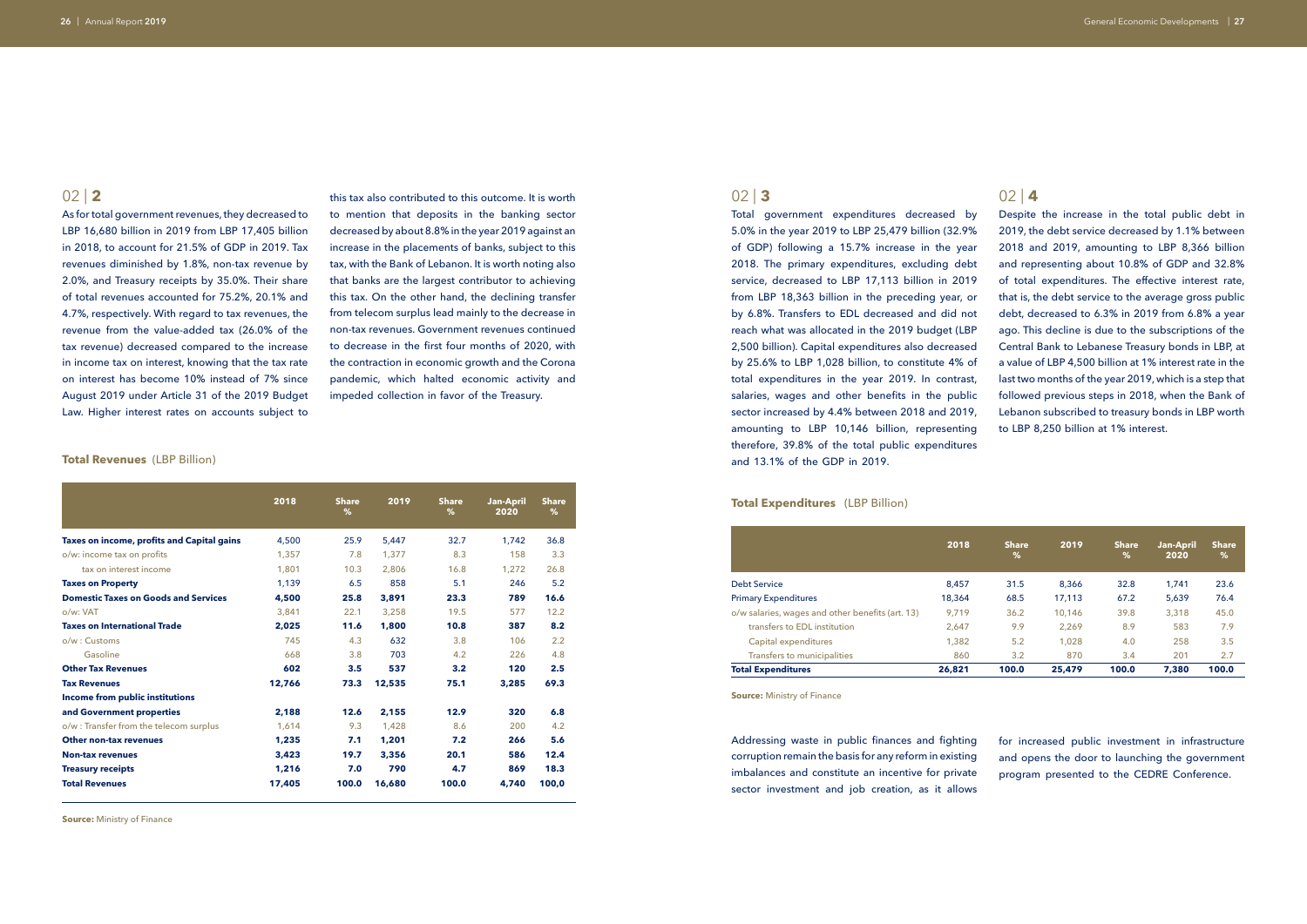As for total government revenues, they decreased to LBP 16,680 billion in 2019 from LBP 17,405 billion in 2018, to account for 21.5% of GDP in 2019. Tax revenues diminished by 1.8%, non-tax revenue by 2.0%, and Treasury receipts by 35.0%. Their share of total revenues accounted for 75.2%, 20.1% and 4.7%, respectively. With regard to tax revenues, the revenue from the value-added tax (26.0% of the tax revenue) decreased compared to the increase in income tax on interest, knowing that the tax rate on interest has become 10% instead of 7% since August 2019 under Article 31 of the 2019 Budget Law. Higher interest rates on accounts subject to

### 02 | **3**

Total government expenditures decreased by 5.0% in the year 2019 to LBP 25,479 billion (32.9% of GDP) following a 15.7% increase in the year 2018. The primary expenditures, excluding debt service, decreased to LBP 17,113 billion in 2019 from LBP 18,363 billion in the preceding year, or by 6.8%. Transfers to EDL decreased and did not reach what was allocated in the 2019 budget (LBP 2,500 billion). Capital expenditures also decreased by 25.6% to LBP 1,028 billion, to constitute 4% of total expenditures in the year 2019. In contrast, salaries, wages and other benefits in the public sector increased by 4.4% between 2018 and 2019, amounting to LBP 10,146 billion, representing therefore, 39.8% of the total public expenditures and 13.1% of the GDP in 2019.

### **70tal Expenditures** (LBP Billion)

this tax also contributed to this outcome. It is worth to mention that deposits in the banking sector decreased by about 8.8% in the year 2019 against an increase in the placements of banks, subject to this tax, with the Bank of Lebanon. It is worth noting also that banks are the largest contributor to achieving this tax. On the other hand, the declining transfer from telecom surplus lead mainly to the decrease in non-tax revenues. Government revenues continued to decrease in the first four months of 2020, with the contraction in economic growth and the Corona pandemic, which halted economic activity and impeded collection in favor of the Treasury.

### **Total Revenues** (LBP Billion)

|                                                   | 2018   | <b>Share</b><br>% | 2019   | <b>Share</b><br>% | <b>Jan-April</b><br>2020 | <b>Share</b><br>% |
|---------------------------------------------------|--------|-------------------|--------|-------------------|--------------------------|-------------------|
| <b>Taxes on income, profits and Capital gains</b> | 4,500  | 25.9              | 5,447  | 32.7              | 1,742                    | 36.8              |
| o/w: income tax on profits                        | 1,357  | 7.8               | 1.377  | 8.3               | 158                      | 3.3               |
| tax on interest income                            | 1,801  | 10.3              | 2.806  | 16.8              | 1,272                    | 26.8              |
| <b>Taxes on Property</b>                          | 1,139  | 6.5               | 858    | 5.1               | 246                      | 5.2               |
| <b>Domestic Taxes on Goods and Services</b>       | 4,500  | 25.8              | 3,891  | 23.3              | 789                      | 16.6              |
| o/w:VAT                                           | 3,841  | 22.1              | 3,258  | 19.5              | 577                      | 12.2              |
| <b>Taxes on International Trade</b>               | 2,025  | 11.6              | 1,800  | 10.8              | 387                      | 8.2               |
| o/w: Customs                                      | 745    | 4.3               | 632    | 3.8               | 106                      | 2.2               |
| Gasoline                                          | 668    | 3.8               | 703    | 4.2               | 226                      | 4.8               |
| <b>Other Tax Revenues</b>                         | 602    | 3.5               | 537    | 3.2               | 120                      | 2.5               |
| <b>Tax Revenues</b>                               | 12,766 | 73.3              | 12,535 | 75.1              | 3,285                    | 69.3              |
| Income from public institutions                   |        |                   |        |                   |                          |                   |
| and Government properties                         | 2,188  | 12.6              | 2,155  | 12.9              | 320                      | 6.8               |
| o/w : Transfer from the telecom surplus           | 1,614  | 9.3               | 1,428  | 8.6               | 200                      | 4.2               |
| <b>Other non-tax revenues</b>                     | 1,235  | 7.1               | 1.201  | 7.2               | 266                      | 5.6               |
| <b>Non-tax revenues</b>                           | 3,423  | 19.7              | 3.356  | 20.1              | 586                      | 12.4              |
| <b>Treasury receipts</b>                          | 1,216  | 7.0               | 790    | 4.7               | 869                      | 18.3              |
| <b>Total Revenues</b>                             | 17,405 | 100.0             | 16,680 | 100.0             | 4.740                    | 100.0             |

|                                                  | 2018   | <b>Share</b><br>% | 2019   | <b>Share</b><br>% | Jan-April<br>2020 | <b>Share</b><br>% |
|--------------------------------------------------|--------|-------------------|--------|-------------------|-------------------|-------------------|
| <b>Debt Service</b>                              | 8,457  | 31.5              | 8,366  | 32.8              | 1,741             | 23.6              |
| <b>Primary Expenditures</b>                      | 18,364 | 68.5              | 17.113 | 67.2              | 5,639             | 76.4              |
| o/w salaries, wages and other benefits (art. 13) | 9.719  | 36.2              | 10.146 | 39.8              | 3.318             | 45.0              |
| transfers to FDI institution                     | 2,647  | 9.9               | 2.269  | 8.9               | 583               | 7.9               |
| Capital expenditures                             | 1,382  | 5.2               | 1.028  | 4.0               | 258               | 3.5               |
| <b>Transfers to municipalities</b>               | 860    | 3.2               | 870    | 3.4               | 201               | 2.7               |
| <b>Total Expenditures</b>                        | 26,821 | 100.0             | 25,479 | 100.0             | 7.380             | 100.0             |

**Source: Ministry of Finance** 

**Source:** Ministry of Finance

# 02 | **4**

Despite the increase in the total public debt in 2019, the debt service decreased by 1.1% between 2018 and 2019, amounting to LBP 8,366 billion and representing about 10.8% of GDP and 32.8% of total expenditures. The effective interest rate, that is, the debt service to the average gross public debt, decreased to 6.3% in 2019 from 6.8% a year ago. This decline is due to the subscriptions of the Central Bank to Lebanese Treasury bonds in LBP, at a value of LBP 4,500 billion at 1% interest rate in the last two months of the year 2019, which is a step that followed previous steps in 2018, when the Bank of Lebanon subscribed to treasury bonds in LBP worth to LBP 8,250 billion at 1% interest.

Addressing waste in public finances and fighting corruption remain the basis for any reform in existing imbalances and constitute an incentive for private sector investment and job creation, as it allows

for increased public investment in infrastructure and opens the door to launching the government program presented to the CEDRE Conference.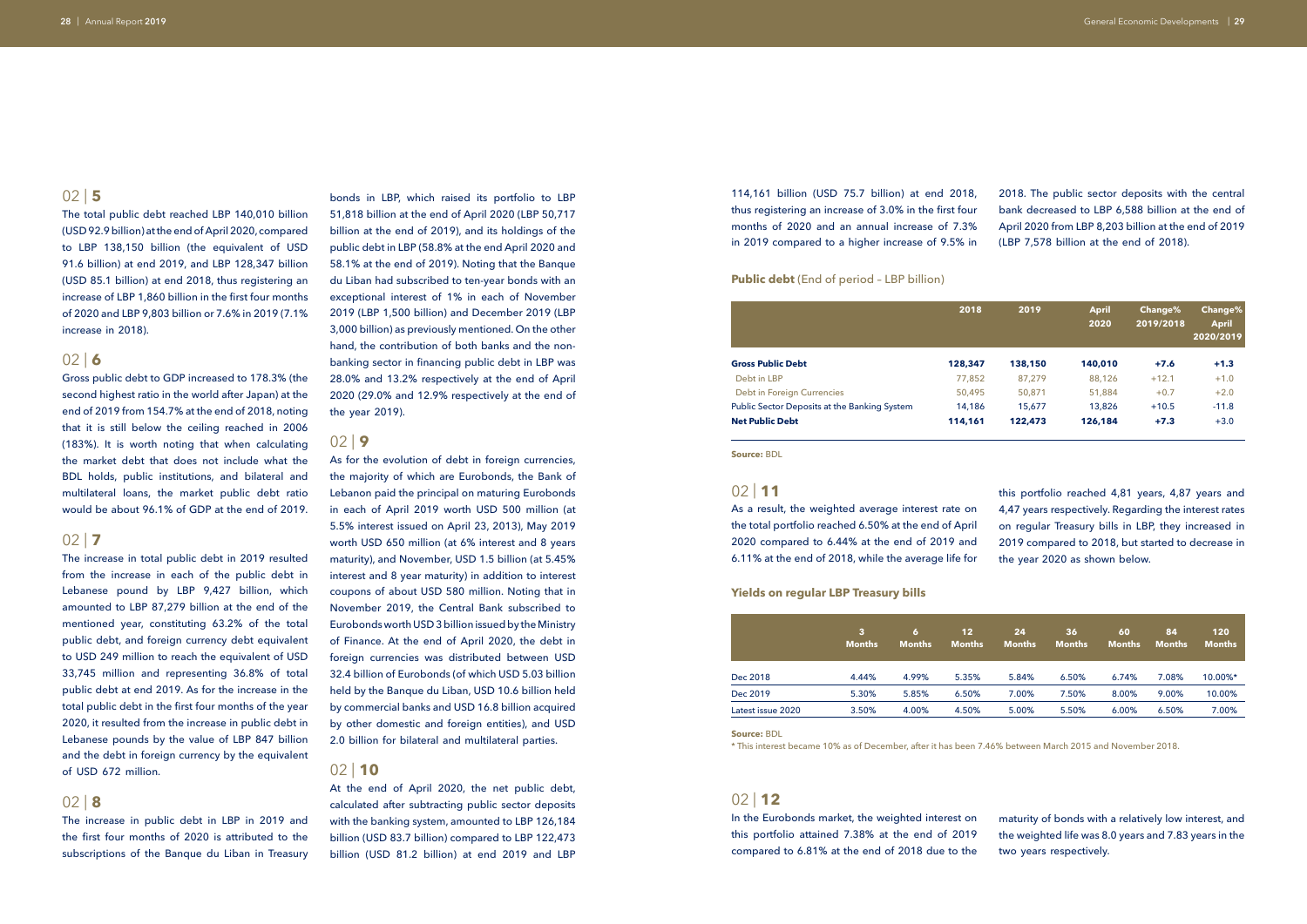The total public debt reached LBP 140,010 billion (USD 92.9 billion) at the end of April 2020, compared to LBP 138,150 billion (the equivalent of USD 91.6 billion) at end 2019, and LBP 128,347 billion (USD 85.1 billion) at end 2018, thus registering an increase of LBP 1,860 billion in the first four months of 2020 and LBP 9,803 billion or 7.6% in 2019 (7.1% increase in 2018).

### $02$  | 6

Gross public debt to GDP increased to 178.3% (the second highest ratio in the world after Japan) at the end of 2019 from 154.7% at the end of 2018, noting that it is still below the ceiling reached in 2006 (183%). It is worth noting that when calculating the market debt that does not include what the BDL holds, public institutions, and bilateral and multilateral loans, the market public debt ratio would be about 96.1% of GDP at the end of 2019.

### $02$  | **7**

The increase in total public debt in 2019 resulted from the increase in each of the public debt in Lebanese pound by LBP 9,427 billion, which amounted to LBP 87,279 billion at the end of the mentioned year, constituting 63.2% of the total public debt, and foreign currency debt equivalent to USD 249 million to reach the equivalent of USD 33,745 million and representing 36.8% of total public debt at end 2019. As for the increase in the total public debt in the first four months of the year 2020, it resulted from the increase in public debt in Lebanese pounds by the value of LBP 847 billion and the debt in foreign currency by the equivalent of USD 672 million.

### 02 | **8**

The increase in public debt in LBP in 2019 and the first four months of 2020 is attributed to the subscriptions of the Banque du Liban in Treasury

bonds in LBP, which raised its portfolio to LBP 51,818 billion at the end of April 2020 (LBP 50,717 billion at the end of 2019), and its holdings of the public debt in LBP (58.8% at the end April 2020 and 58.1% at the end of 2019). Noting that the Banque du Liban had subscribed to ten-year bonds with an exceptional interest of 1% in each of November 2019 (LBP 1,500 billion) and December 2019 (LBP 3,000 billion) as previously mentioned. On the other hand, the contribution of both banks and the nonbanking sector in financing public debt in LBP was 28.0% and 13.2% respectively at the end of April 2020 (29.0% and 12.9% respectively at the end of the year 2019).

### 02 | **9**

As for the evolution of debt in foreign currencies, the majority of which are Eurobonds, the Bank of Lebanon paid the principal on maturing Eurobonds in each of April 2019 worth USD 500 million (at 5.5% interest issued on April 23, 2013), May 2019 worth USD 650 million (at 6% interest and 8 years maturity), and November, USD 1.5 billion (at 5.45% interest and 8 year maturity) in addition to interest coupons of about USD 580 million. Noting that in November 2019, the Central Bank subscribed to Eurobonds worth USD 3 billion issued by the Ministry of Finance. At the end of April 2020, the debt in foreign currencies was distributed between USD 32.4 billion of Eurobonds (of which USD 5.03 billion held by the Banque du Liban, USD 10.6 billion held by commercial banks and USD 16.8 billion acquired by other domestic and foreign entities), and USD 2.0 billion for bilateral and multilateral parties.

### 02 | **10**

At the end of April 2020, the net public debt, calculated after subtracting public sector deposits with the banking system, amounted to LBP 126,184 billion (USD 83.7 billion) compared to LBP 122,473 billion (USD 81.2 billion) at end 2019 and LBP 114,161 billion (USD 75.7 billion) at end 2018, thus registering an increase of 3.0% in the first four months of 2020 and an annual increase of 7.3% in 2019 compared to a higher increase of 9.5% in

### 02 | **12**

In the Eurobonds market, the weighted interest on this portfolio attained 7.38% at the end of 2019 compared to 6.81% at the end of 2018 due to the

### 02 | **11**

As a result, the weighted average interest rate on the total portfolio reached 6.50% at the end of April 2020 compared to 6.44% at the end of 2019 and 6.11% at the end of 2018, while the average life for

2018. The public sector deposits with the central bank decreased to LBP 6,588 billion at the end of April 2020 from LBP 8,203 billion at the end of 2019 (LBP 7,578 billion at the end of 2018).

maturity of bonds with a relatively low interest, and the weighted life was 8.0 years and 7.83 years in the two years respectively.

this portfolio reached 4,81 years, 4,87 years and 4,47 years respectively. Regarding the interest rates on regular Treasury bills in LBP, they increased in 2019 compared to 2018, but started to decrease in the year 2020 as shown below.

**Source:** BDL

**Source:** BDL

\* This interest became 10% as of December, after it has been 7.46% between March 2015 and November 2018.

**Public debt** (End of period – LBP billion)

### **Yields on regular LBP Treasury bills**

|                                              | 2018    | 2019    | <b>April</b><br>2020 | <b>Change%</b><br>2019/2018 | Change%<br><b>April</b><br>2020/2019 |
|----------------------------------------------|---------|---------|----------------------|-----------------------------|--------------------------------------|
| <b>Gross Public Debt</b>                     | 128,347 | 138,150 | 140,010              | $+7.6$                      | $+1.3$                               |
| Debt in LBP                                  | 77,852  | 87,279  | 88,126               | $+12.1$                     | $+1.0$                               |
| Debt in Foreign Currencies                   | 50,495  | 50,871  | 51,884               | $+0.7$                      | $+2.0$                               |
| Public Sector Deposits at the Banking System | 14,186  | 15,677  | 13,826               | $+10.5$                     | $-11.8$                              |
| <b>Net Public Debt</b>                       | 114,161 | 122,473 | 126,184              | $+7.3$                      | $+3.0$                               |

|                   | 3<br><b>Months</b> | 61<br><b>Months</b> | 12<br><b>Months</b> | 24<br><b>Months</b> | 36<br><b>Months</b> | 60<br><b>Months</b> | 84<br><b>Months</b> | 120<br><b>Months</b> |
|-------------------|--------------------|---------------------|---------------------|---------------------|---------------------|---------------------|---------------------|----------------------|
| Dec 2018          | 4.44%              | 4.99%               | 5.35%               | 5.84%               | 6.50%               | 6.74%               | 7.08%               | 10.00%*              |
| Dec 2019          | 5.30%              | 5.85%               | 6.50%               | 7.00%               | 7.50%               | 8.00%               | 9.00%               | 10.00%               |
| Latest issue 2020 | 3.50%              | 4.00%               | 4.50%               | 5.00%               | 5.50%               | 6.00%               | 6.50%               | 7.00%                |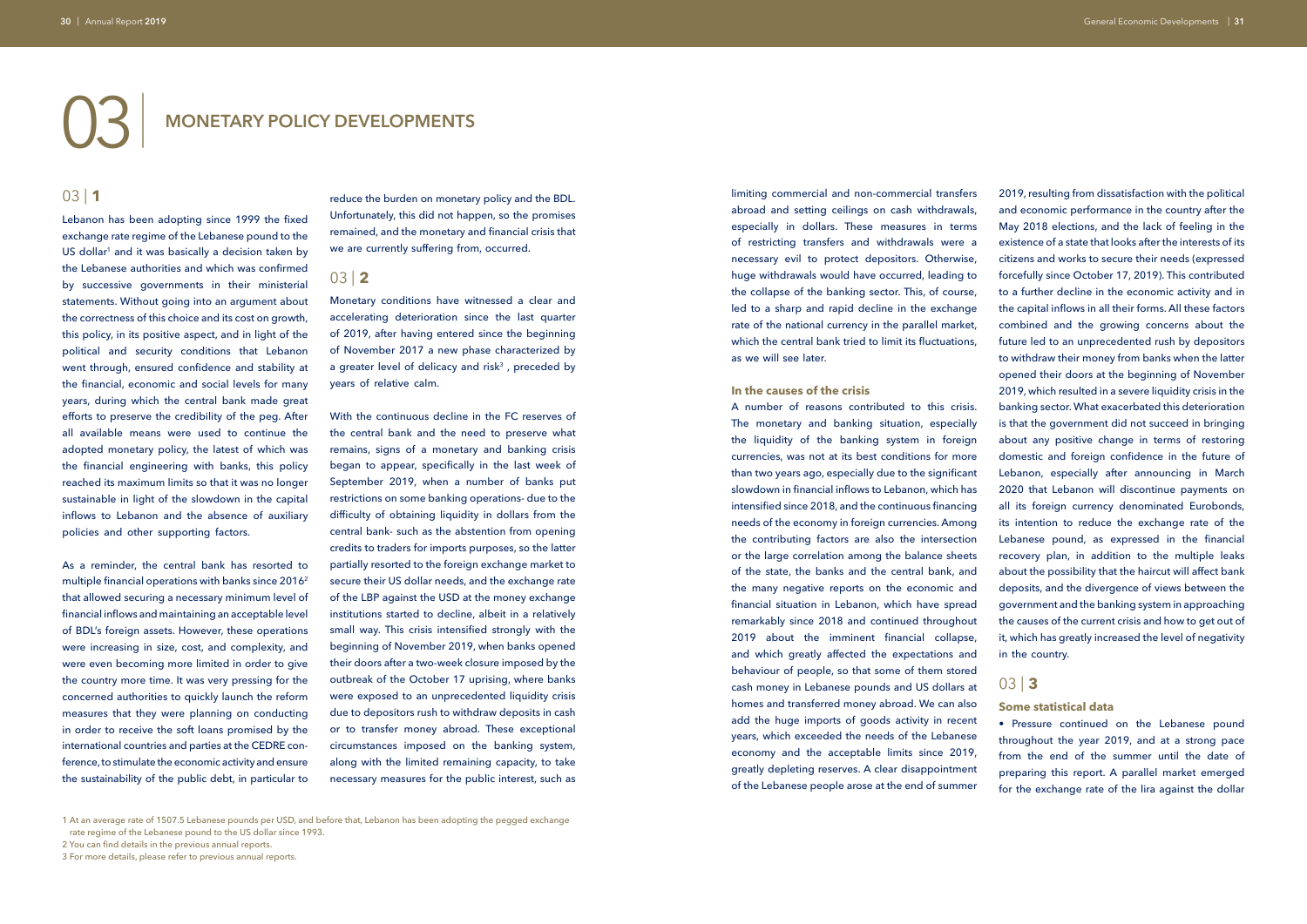# 03 | **MONETARY POLICY DEVELOPMENTS**

### 03 | **1**

Lebanon has been adopting since 1999 the fixed exchange rate regime of the Lebanese pound to the US dollar<sup>1</sup> and it was basically a decision taken by the Lebanese authorities and which was confirmed by successive governments in their ministerial statements. Without going into an argument about the correctness of this choice and its cost on growth, this policy, in its positive aspect, and in light of the political and security conditions that Lebanon went through, ensured confidence and stability at the financial, economic and social levels for many years, during which the central bank made great efforts to preserve the credibility of the peg. After all available means were used to continue the adopted monetary policy, the latest of which was the financial engineering with banks, this policy reached its maximum limits so that it was no longer sustainable in light of the slowdown in the capital inflows to Lebanon and the absence of auxiliary policies and other supporting factors.

As a reminder, the central bank has resorted to multiple financial operations with banks since 2016<sup>2</sup> that allowed securing a necessary minimum level of financial inflows and maintaining an acceptable level of BDL's foreign assets. However, these operations were increasing in size, cost, and complexity, and were even becoming more limited in order to give the country more time. It was very pressing for the concerned authorities to quickly launch the reform measures that they were planning on conducting in order to receive the soft loans promised by the international countries and parties at the CEDRE conference, to stimulate the economic activity and ensure the sustainability of the public debt, in particular to

reduce the burden on monetary policy and the BDL. Unfortunately, this did not happen, so the promises remained, and the monetary and financial crisis that we are currently suffering from, occurred.

### 03 | **2**

Monetary conditions have witnessed a clear and accelerating deterioration since the last quarter of 2019, after having entered since the beginning of November 2017 a new phase characterized by a greater level of delicacy and risk $3$ , preceded by years of relative calm.

With the continuous decline in the FC reserves of the central bank and the need to preserve what remains, signs of a monetary and banking crisis began to appear, specifically in the last week of September 2019, when a number of banks put restrictions on some banking operations- due to the difficulty of obtaining liquidity in dollars from the central bank- such as the abstention from opening credits to traders for imports purposes, so the latter partially resorted to the foreign exchange market to secure their US dollar needs, and the exchange rate of the LBP against the USD at the money exchange institutions started to decline, albeit in a relatively small way. This crisis intensified strongly with the beginning of November 2019, when banks opened their doors after a two-week closure imposed by the outbreak of the October 17 uprising, where banks were exposed to an unprecedented liquidity crisis due to depositors rush to withdraw deposits in cash or to transfer money abroad. These exceptional circumstances imposed on the banking system, along with the limited remaining capacity, to take necessary measures for the public interest, such as

limiting commercial and non-commercial transfers abroad and setting ceilings on cash withdrawals, especially in dollars. These measures in terms of restricting transfers and withdrawals were a necessary evil to protect depositors. Otherwise, huge withdrawals would have occurred, leading to the collapse of the banking sector. This, of course, led to a sharp and rapid decline in the exchange rate of the national currency in the parallel market, which the central bank tried to limit its fluctuations, as we will see later.

### **In the causes of the crisis**

A number of reasons contributed to this crisis. The monetary and banking situation, especially the liquidity of the banking system in foreign currencies, was not at its best conditions for more than two years ago, especially due to the significant slowdown in financial inflows to Lebanon, which has intensified since 2018, and the continuous financing needs of the economy in foreign currencies. Among the contributing factors are also the intersection or the large correlation among the balance sheets of the state, the banks and the central bank, and the many negative reports on the economic and financial situation in Lebanon, which have spread remarkably since 2018 and continued throughout 2019 about the imminent financial collapse, and which greatly affected the expectations and behaviour of people, so that some of them stored cash money in Lebanese pounds and US dollars at homes and transferred money abroad. We can also add the huge imports of goods activity in recent years, which exceeded the needs of the Lebanese economy and the acceptable limits since 2019, greatly depleting reserves. A clear disappointment of the Lebanese people arose at the end of summer

1 At an average rate of 1507.5 Lebanese pounds per USD, and before that, Lebanon has been adopting the pegged exchange rate regime of the Lebanese pound to the US dollar since 1993.

2 You can find details in the previous annual reports.

2019, resulting from dissatisfaction with the political and economic performance in the country after the May 2018 elections, and the lack of feeling in the existence of a state that looks after the interests of its citizens and works to secure their needs (expressed forcefully since October 17, 2019). This contributed to a further decline in the economic activity and in the capital inflows in all their forms. All these factors combined and the growing concerns about the future led to an unprecedented rush by depositors to withdraw their money from banks when the latter opened their doors at the beginning of November 2019, which resulted in a severe liquidity crisis in the banking sector. What exacerbated this deterioration is that the government did not succeed in bringing about any positive change in terms of restoring domestic and foreign confidence in the future of Lebanon, especially after announcing in March 2020 that Lebanon will discontinue payments on all its foreign currency denominated Eurobonds, its intention to reduce the exchange rate of the Lebanese pound, as expressed in the financial recovery plan, in addition to the multiple leaks about the possibility that the haircut will affect bank deposits, and the divergence of views between the government and the banking system in approaching the causes of the current crisis and how to get out of it, which has greatly increased the level of negativity in the country.

# 03 | **3**

### **Some statistical data**

• Pressure continued on the Lebanese pound throughout the year 2019, and at a strong pace from the end of the summer until the date of preparing this report. A parallel market emerged for the exchange rate of the lira against the dollar

<sup>3</sup> For more details, please refer to previous annual reports.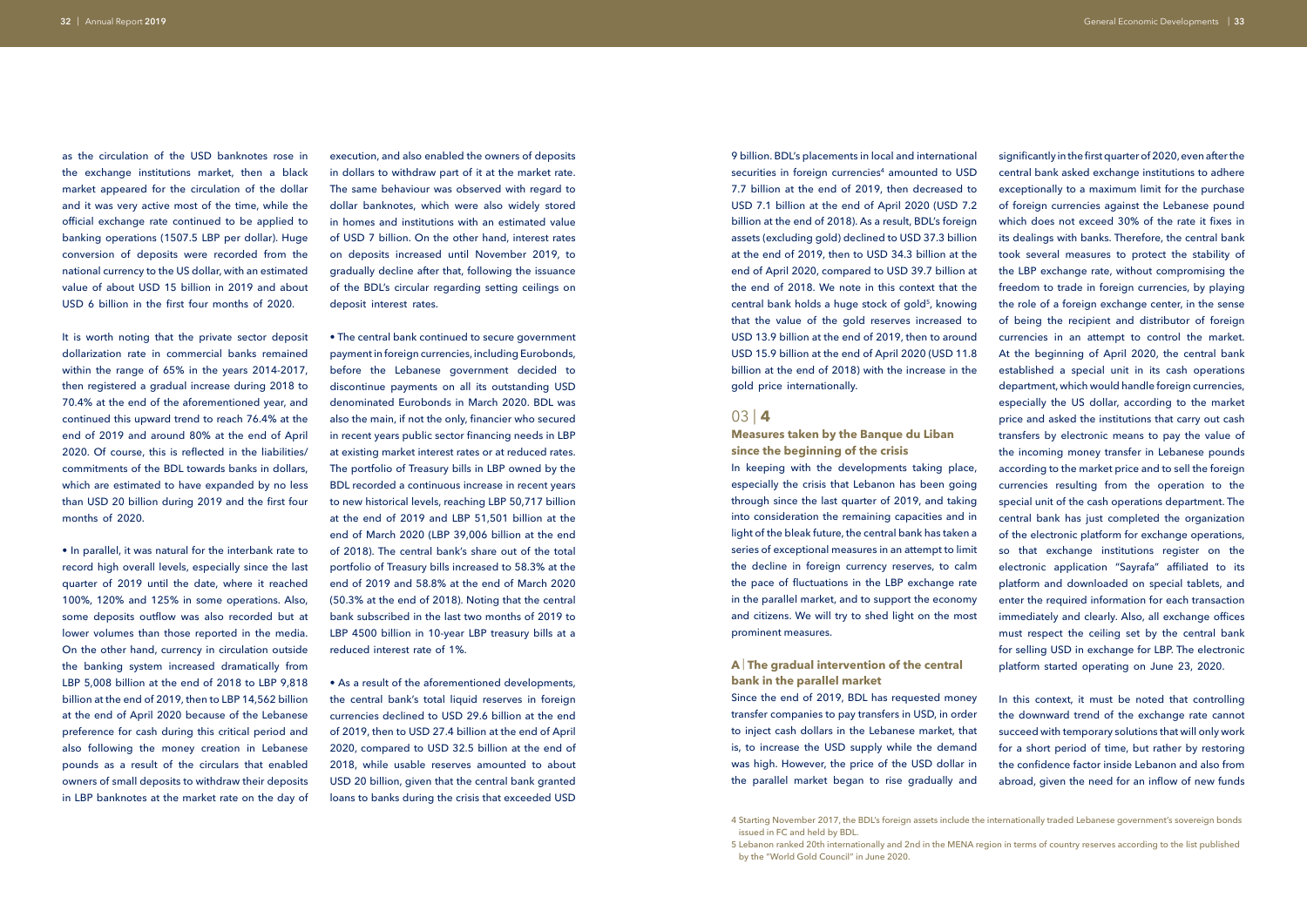as the circulation of the USD banknotes rose in the exchange institutions market, then a black market appeared for the circulation of the dollar and it was very active most of the time, while the official exchange rate continued to be applied to banking operations (1507.5 LBP per dollar). Huge conversion of deposits were recorded from the national currency to the US dollar, with an estimated value of about USD 15 billion in 2019 and about USD 6 billion in the first four months of 2020.

It is worth noting that the private sector deposit dollarization rate in commercial banks remained within the range of 65% in the years 2014-2017, then registered a gradual increase during 2018 to 70.4% at the end of the aforementioned year, and continued this upward trend to reach 76.4% at the end of 2019 and around 80% at the end of April 2020. Of course, this is reflected in the liabilities/ commitments of the BDL towards banks in dollars, which are estimated to have expanded by no less than USD 20 billion during 2019 and the first four months of 2020.

• In parallel, it was natural for the interbank rate to record high overall levels, especially since the last quarter of 2019 until the date, where it reached 100%, 120% and 125% in some operations. Also, some deposits outflow was also recorded but at lower volumes than those reported in the media. On the other hand, currency in circulation outside the banking system increased dramatically from LBP 5,008 billion at the end of 2018 to LBP 9,818 billion at the end of 2019, then to LBP 14,562 billion at the end of April 2020 because of the Lebanese preference for cash during this critical period and also following the money creation in Lebanese pounds as a result of the circulars that enabled owners of small deposits to withdraw their deposits in LBP banknotes at the market rate on the day of

execution, and also enabled the owners of deposits in dollars to withdraw part of it at the market rate. The same behaviour was observed with regard to dollar banknotes, which were also widely stored in homes and institutions with an estimated value of USD 7 billion. On the other hand, interest rates on deposits increased until November 2019, to gradually decline after that, following the issuance of the BDL's circular regarding setting ceilings on deposit interest rates.

• The central bank continued to secure government payment in foreign currencies, including Eurobonds, before the Lebanese government decided to discontinue payments on all its outstanding USD denominated Eurobonds in March 2020. BDL was also the main, if not the only, financier who secured in recent years public sector financing needs in LBP at existing market interest rates or at reduced rates. The portfolio of Treasury bills in LBP owned by the BDL recorded a continuous increase in recent years to new historical levels, reaching LBP 50,717 billion at the end of 2019 and LBP 51,501 billion at the end of March 2020 (LBP 39,006 billion at the end of 2018). The central bank's share out of the total portfolio of Treasury bills increased to 58.3% at the end of 2019 and 58.8% at the end of March 2020 (50.3% at the end of 2018). Noting that the central bank subscribed in the last two months of 2019 to LBP 4500 billion in 10-year LBP treasury bills at a reduced interest rate of 1%.

• As a result of the aforementioned developments, the central bank's total liquid reserves in foreign currencies declined to USD 29.6 billion at the end of 2019, then to USD 27.4 billion at the end of April 2020, compared to USD 32.5 billion at the end of 2018, while usable reserves amounted to about USD 20 billion, given that the central bank granted loans to banks during the crisis that exceeded USD

9 billion. BDL's placements in local and international securities in foreign currencies<sup>4</sup> amounted to USD 7.7 billion at the end of 2019, then decreased to USD 7.1 billion at the end of April 2020 (USD 7.2 billion at the end of 2018). As a result, BDL's foreign assets (excluding gold) declined to USD 37.3 billion at the end of 2019, then to USD 34.3 billion at the end of April 2020, compared to USD 39.7 billion at the end of 2018. We note in this context that the central bank holds a huge stock of gold<sup>5</sup>, knowing that the value of the gold reserves increased to USD 13.9 billion at the end of 2019, then to around USD 15.9 billion at the end of April 2020 (USD 11.8 billion at the end of 2018) with the increase in the gold price internationally.

### 03 | **4**

**Measures taken by the Banque du Liban since the beginning of the crisis**

In keeping with the developments taking place, especially the crisis that Lebanon has been going through since the last quarter of 2019, and taking into consideration the remaining capacities and in light of the bleak future, the central bank has taken a series of exceptional measures in an attempt to limit the decline in foreign currency reserves, to calm the pace of fluctuations in the LBP exchange rate in the parallel market, and to support the economy and citizens. We will try to shed light on the most prominent measures.

### **A** | **The gradual intervention of the central bank in the parallel market**

Since the end of 2019, BDL has requested money transfer companies to pay transfers in USD, in order to inject cash dollars in the Lebanese market, that is, to increase the USD supply while the demand was high. However, the price of the USD dollar in the parallel market began to rise gradually and

significantly in the first quarter of 2020, even after the central bank asked exchange institutions to adhere exceptionally to a maximum limit for the purchase of foreign currencies against the Lebanese pound which does not exceed 30% of the rate it fixes in its dealings with banks. Therefore, the central bank took several measures to protect the stability of the LBP exchange rate, without compromising the freedom to trade in foreign currencies, by playing the role of a foreign exchange center, in the sense of being the recipient and distributor of foreign currencies in an attempt to control the market. At the beginning of April 2020, the central bank established a special unit in its cash operations department, which would handle foreign currencies, especially the US dollar, according to the market price and asked the institutions that carry out cash transfers by electronic means to pay the value of the incoming money transfer in Lebanese pounds according to the market price and to sell the foreign currencies resulting from the operation to the special unit of the cash operations department. The central bank has just completed the organization of the electronic platform for exchange operations, so that exchange institutions register on the electronic application "Sayrafa" affiliated to its platform and downloaded on special tablets, and enter the required information for each transaction immediately and clearly. Also, all exchange offices must respect the ceiling set by the central bank for selling USD in exchange for LBP. The electronic platform started operating on June 23, 2020.

In this context, it must be noted that controlling the downward trend of the exchange rate cannot succeed with temporary solutions that will only work for a short period of time, but rather by restoring the confidence factor inside Lebanon and also from abroad, given the need for an inflow of new funds

<sup>4</sup> Starting November 2017, the BDL's foreign assets include the internationally traded Lebanese government's sovereign bonds issued in FC and held by BDL.

<sup>5</sup> Lebanon ranked 20th internationally and 2nd in the MENA region in terms of country reserves according to the list published by the "World Gold Council" in June 2020.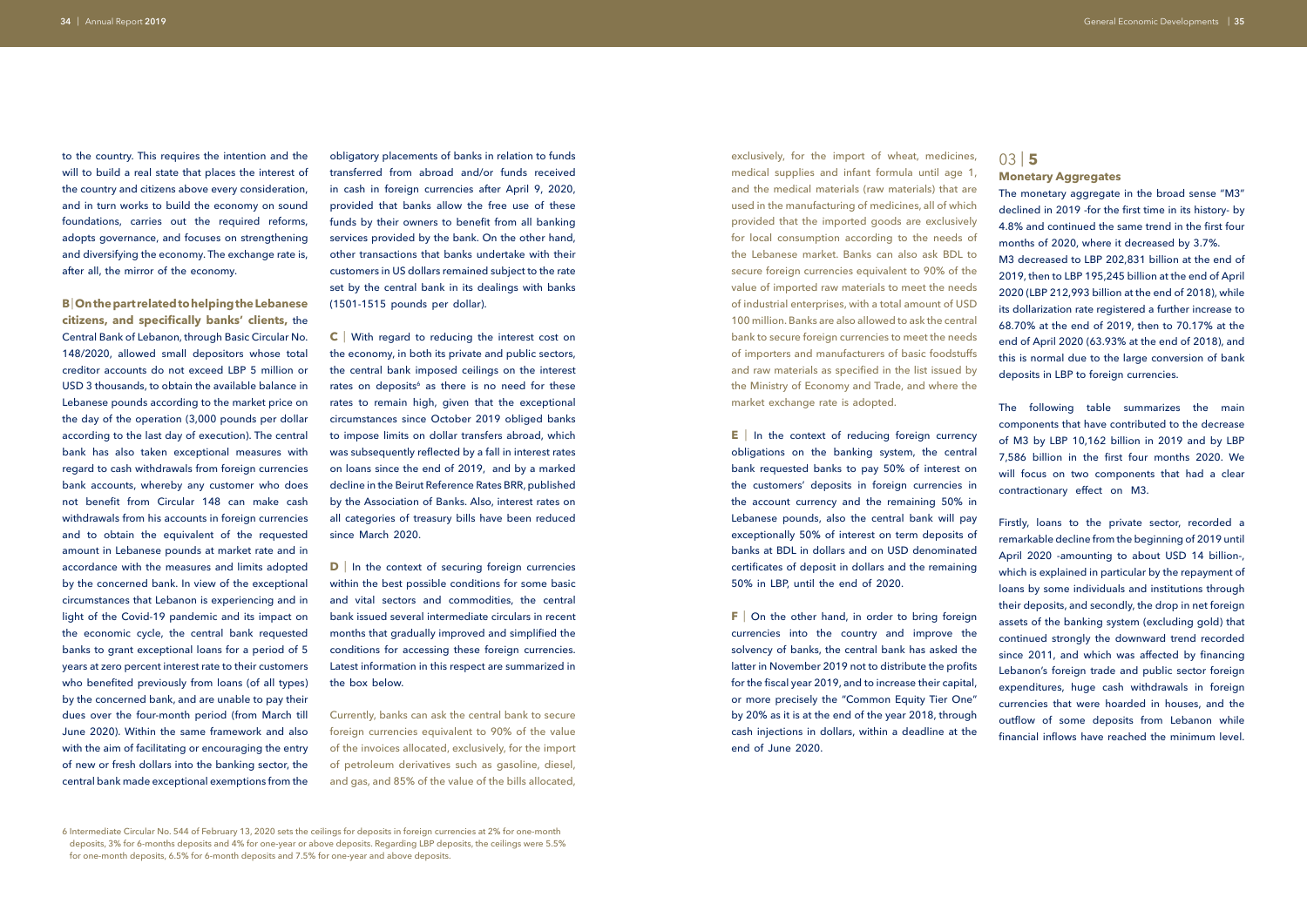to the country. This requires the intention and the will to build a real state that places the interest of the country and citizens above every consideration, and in turn works to build the economy on sound foundations, carries out the required reforms, adopts governance, and focuses on strengthening and diversifying the economy. The exchange rate is, after all, the mirror of the economy.

**B** | **On the part related to helping the Lebanese citizens, and specifically banks' clients,** the Central Bank of Lebanon, through Basic Circular No. 148/2020, allowed small depositors whose total creditor accounts do not exceed LBP 5 million or USD 3 thousands, to obtain the available balance in Lebanese pounds according to the market price on the day of the operation (3,000 pounds per dollar according to the last day of execution). The central bank has also taken exceptional measures with regard to cash withdrawals from foreign currencies bank accounts, whereby any customer who does not benefit from Circular 148 can make cash withdrawals from his accounts in foreign currencies and to obtain the equivalent of the requested amount in Lebanese pounds at market rate and in accordance with the measures and limits adopted by the concerned bank. In view of the exceptional circumstances that Lebanon is experiencing and in light of the Covid-19 pandemic and its impact on the economic cycle, the central bank requested banks to grant exceptional loans for a period of 5 years at zero percent interest rate to their customers who benefited previously from loans (of all types) by the concerned bank, and are unable to pay their dues over the four-month period (from March till June 2020). Within the same framework and also with the aim of facilitating or encouraging the entry of new or fresh dollars into the banking sector, the central bank made exceptional exemptions from the

**C** | With regard to reducing the interest cost on the economy, in both its private and public sectors, the central bank imposed ceilings on the interest rates on deposits<sup>6</sup> as there is no need for these rates to remain high, given that the exceptional circumstances since October 2019 obliged banks to impose limits on dollar transfers abroad, which was subsequently reflected by a fall in interest rates on loans since the end of 2019, and by a marked decline in the Beirut Reference Rates BRR, published by the Association of Banks. Also, interest rates on all categories of treasury bills have been reduced since March 2020.

**D** In the context of securing foreign currencies within the best possible conditions for some basic and vital sectors and commodities, the central bank issued several intermediate circulars in recent months that gradually improved and simplified the conditions for accessing these foreign currencies. Latest information in this respect are summarized in the box below.

obligatory placements of banks in relation to funds transferred from abroad and/or funds received in cash in foreign currencies after April 9, 2020, provided that banks allow the free use of these funds by their owners to benefit from all banking services provided by the bank. On the other hand, other transactions that banks undertake with their customers in US dollars remained subject to the rate set by the central bank in its dealings with banks (1501-1515 pounds per dollar).

> **E** In the context of reducing foreign currency obligations on the banking system, the central bank requested banks to pay 50% of interest on the customers' deposits in foreign currencies in the account currency and the remaining 50% in Lebanese pounds, also the central bank will pay exceptionally 50% of interest on term deposits of banks at BDL in dollars and on USD denominated certificates of deposit in dollars and the remaining 50% in LBP, until the end of 2020.

> **F** On the other hand, in order to bring foreign currencies into the country and improve the solvency of banks, the central bank has asked the latter in November 2019 not to distribute the profits for the fiscal year 2019, and to increase their capital, or more precisely the "Common Equity Tier One" by 20% as it is at the end of the year 2018, through cash injections in dollars, within a deadline at the end of June 2020.

Currently, banks can ask the central bank to secure foreign currencies equivalent to 90% of the value of the invoices allocated, exclusively, for the import of petroleum derivatives such as gasoline, diesel, and gas, and 85% of the value of the bills allocated,

6 Intermediate Circular No. 544 of February 13, 2020 sets the ceilings for deposits in foreign currencies at 2% for one-month deposits, 3% for 6-months deposits and 4% for one-year or above deposits. Regarding LBP deposits, the ceilings were 5.5% for one-month deposits, 6.5% for 6-month deposits and 7.5% for one-year and above deposits.

exclusively, for the import of wheat, medicines, medical supplies and infant formula until age 1, and the medical materials (raw materials) that are used in the manufacturing of medicines, all of which provided that the imported goods are exclusively for local consumption according to the needs of the Lebanese market. Banks can also ask BDL to secure foreign currencies equivalent to 90% of the value of imported raw materials to meet the needs of industrial enterprises, with a total amount of USD 100 million. Banks are also allowed to ask the central bank to secure foreign currencies to meet the needs of importers and manufacturers of basic foodstuffs and raw materials as specified in the list issued by the Ministry of Economy and Trade, and where the market exchange rate is adopted.

# 03 | **5**

**Monetary Aggregates**

The monetary aggregate in the broad sense "M3" declined in 2019 -for the first time in its history- by 4.8% and continued the same trend in the first four months of 2020, where it decreased by 3.7%.

M3 decreased to LBP 202,831 billion at the end of 2019, then to LBP 195,245 billion at the end of April 2020 (LBP 212,993 billion at the end of 2018), while its dollarization rate registered a further increase to 68.70% at the end of 2019, then to 70.17% at the end of April 2020 (63.93% at the end of 2018), and this is normal due to the large conversion of bank deposits in LBP to foreign currencies.

The following table summarizes the main components that have contributed to the decrease of M3 by LBP 10,162 billion in 2019 and by LBP 7,586 billion in the first four months 2020. We will focus on two components that had a clear contractionary effect on M3.

Firstly, loans to the private sector, recorded a remarkable decline from the beginning of 2019 until April 2020 -amounting to about USD 14 billion-, which is explained in particular by the repayment of loans by some individuals and institutions through their deposits, and secondly, the drop in net foreign assets of the banking system (excluding gold) that continued strongly the downward trend recorded since 2011, and which was affected by financing Lebanon's foreign trade and public sector foreign expenditures, huge cash withdrawals in foreign currencies that were hoarded in houses, and the outflow of some deposits from Lebanon while financial inflows have reached the minimum level.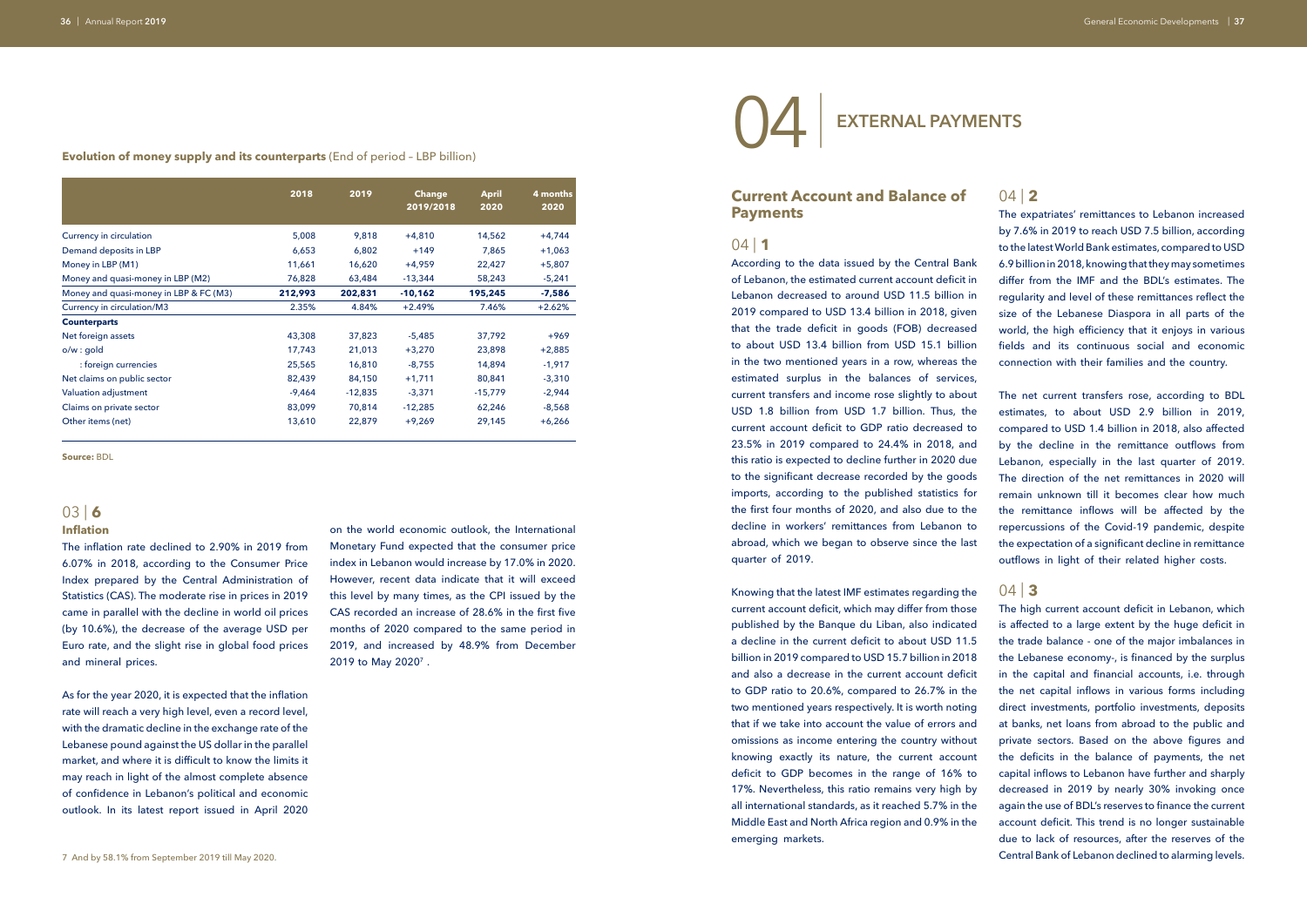**Evolution of money supply and its counterparts** (End of period – LBP billion)

|                                        | 2018     | 2019<br><b>Change</b><br>2019/2018 |           | <b>April</b> | 4 months |
|----------------------------------------|----------|------------------------------------|-----------|--------------|----------|
|                                        |          |                                    |           | 2020         | 2020     |
| Currency in circulation                | 5,008    | 9,818                              | $+4,810$  | 14,562       | $+4,744$ |
| Demand deposits in LBP                 | 6,653    | 6,802                              | $+149$    | 7,865        | $+1,063$ |
| Money in LBP (M1)                      | 11,661   | 16,620                             | $+4,959$  | 22,427       | $+5,807$ |
| Money and quasi-money in LBP (M2)      | 76,828   | 63,484                             | $-13,344$ | 58,243       | $-5,241$ |
| Money and quasi-money in LBP & FC (M3) | 212,993  | 202,831                            | $-10,162$ | 195,245      | $-7,586$ |
| Currency in circulation/M3             | 2.35%    | 4.84%                              | $+2.49%$  | 7.46%        | $+2.62%$ |
| <b>Counterparts</b>                    |          |                                    |           |              |          |
| Net foreign assets                     | 43,308   | 37,823                             | $-5,485$  | 37,792       | $+969$   |
| o/w: qold                              | 17,743   | 21,013                             | $+3,270$  | 23,898       | $+2,885$ |
| : foreign currencies                   | 25,565   | 16,810                             | $-8,755$  | 14,894       | $-1,917$ |
| Net claims on public sector            | 82,439   | 84,150                             | $+1,711$  | 80,841       | $-3,310$ |
| Valuation adjustment                   | $-9,464$ | $-12,835$                          | $-3,371$  | $-15,779$    | $-2,944$ |
| Claims on private sector               | 83,099   | 70,814                             | $-12,285$ | 62,246       | $-8,568$ |
| Other items (net)                      | 13,610   | 22,879                             | $+9,269$  | 29,145       | $+6,266$ |

**Source:** BDL

### 03 | **6**

### **Inflation**

The inflation rate declined to 2.90% in 2019 from 6.07% in 2018, according to the Consumer Price Index prepared by the Central Administration of Statistics (CAS). The moderate rise in prices in 2019 came in parallel with the decline in world oil prices (by 10.6%), the decrease of the average USD per Euro rate, and the slight rise in global food prices and mineral prices.

As for the year 2020, it is expected that the inflation rate will reach a very high level, even a record level, with the dramatic decline in the exchange rate of the Lebanese pound against the US dollar in the parallel market, and where it is difficult to know the limits it may reach in light of the almost complete absence of confidence in Lebanon's political and economic outlook. In its latest report issued in April 2020

on the world economic outlook, the International Monetary Fund expected that the consumer price index in Lebanon would increase by 17.0% in 2020. However, recent data indicate that it will exceed this level by many times, as the CPI issued by the CAS recorded an increase of 28.6% in the first five months of 2020 compared to the same period in 2019, and increased by 48.9% from December 2019 to May 2020<sup>7</sup>.



### **Current Account and Balance of Payments**

### $04$  | **1**

According to the data issued by the Central Bank of Lebanon, the estimated current account deficit in Lebanon decreased to around USD 11.5 billion in 2019 compared to USD 13.4 billion in 2018, given that the trade deficit in goods (FOB) decreased to about USD 13.4 billion from USD 15.1 billion in the two mentioned years in a row, whereas the estimated surplus in the balances of services, current transfers and income rose slightly to about USD 1.8 billion from USD 1.7 billion. Thus, the current account deficit to GDP ratio decreased to 23.5% in 2019 compared to 24.4% in 2018, and this ratio is expected to decline further in 2020 due to the significant decrease recorded by the goods imports, according to the published statistics for the first four months of 2020, and also due to the decline in workers' remittances from Lebanon to abroad, which we began to observe since the last quarter of 2019.

The high current account deficit in Lebanon, which is affected to a large extent by the huge deficit in the trade balance - one of the major imbalances in the Lebanese economy-, is financed by the surplus in the capital and financial accounts, i.e. through the net capital inflows in various forms including direct investments, portfolio investments, deposits at banks, net loans from abroad to the public and private sectors. Based on the above figures and the deficits in the balance of payments, the net capital inflows to Lebanon have further and sharply decreased in 2019 by nearly 30% invoking once again the use of BDL's reserves to finance the current account deficit. This trend is no longer sustainable due to lack of resources, after the reserves of the 7 And by 58.1% from September 2019 till May 2020. Central Bank of Lebanon declined to alarming levels.

Knowing that the latest IMF estimates regarding the current account deficit, which may differ from those published by the Banque du Liban, also indicated a decline in the current deficit to about USD 11.5 billion in 2019 compared to USD 15.7 billion in 2018 and also a decrease in the current account deficit to GDP ratio to 20.6%, compared to 26.7% in the two mentioned years respectively. It is worth noting that if we take into account the value of errors and omissions as income entering the country without knowing exactly its nature, the current account deficit to GDP becomes in the range of 16% to 17%. Nevertheless, this ratio remains very high by all international standards, as it reached 5.7% in the Middle East and North Africa region and 0.9% in the emerging markets.

04 | **EXTERNAL PAYMENTS**

The expatriates' remittances to Lebanon increased by 7.6% in 2019 to reach USD 7.5 billion, according to the latest World Bank estimates, compared to USD 6.9 billion in 2018, knowing that they may sometimes differ from the IMF and the BDL's estimates. The regularity and level of these remittances reflect the size of the Lebanese Diaspora in all parts of the world, the high efficiency that it enjoys in various fields and its continuous social and economic connection with their families and the country.

The net current transfers rose, according to BDL estimates, to about USD 2.9 billion in 2019, compared to USD 1.4 billion in 2018, also affected by the decline in the remittance outflows from Lebanon, especially in the last quarter of 2019. The direction of the net remittances in 2020 will remain unknown till it becomes clear how much the remittance inflows will be affected by the repercussions of the Covid-19 pandemic, despite the expectation of a significant decline in remittance outflows in light of their related higher costs.

### $04$  | **3**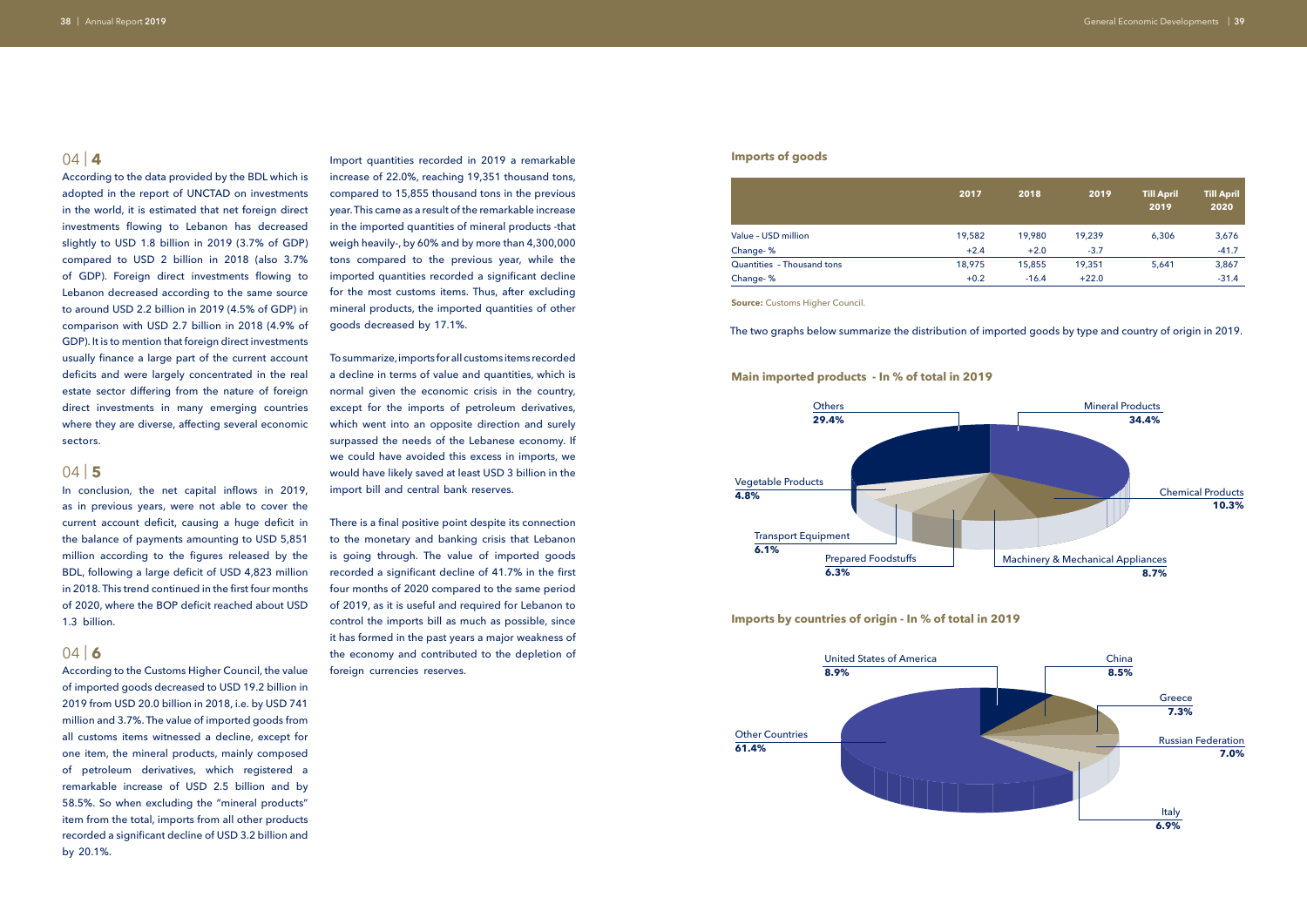According to the data provided by the BDL which is adopted in the report of UNCTAD on investments in the world, it is estimated that net foreign direct investments flowing to Lebanon has decreased slightly to USD 1.8 billion in 2019 (3.7% of GDP) compared to USD 2 billion in 2018 (also 3.7% of GDP). Foreign direct investments flowing to Lebanon decreased according to the same source to around USD 2.2 billion in 2019 (4.5% of GDP) in comparison with USD 2.7 billion in 2018 (4.9% of GDP). It is to mention that foreign direct investments usually finance a large part of the current account deficits and were largely concentrated in the real estate sector differing from the nature of foreign direct investments in many emerging countries where they are diverse, affecting several economic sectors.

### 04 | **5**

In conclusion, the net capital inflows in 2019, as in previous years, were not able to cover the current account deficit, causing a huge deficit in the balance of payments amounting to USD 5,851 million according to the figures released by the BDL, following a large deficit of USD 4,823 million in 2018. This trend continued in the first four months of 2020, where the BOP deficit reached about USD 1.3 billion.

### $04$  6

According to the Customs Higher Council, the value of imported goods decreased to USD 19.2 billion in 2019 from USD 20.0 billion in 2018, i.e. by USD 741 million and 3.7%. The value of imported goods from all customs items witnessed a decline, except for one item, the mineral products, mainly composed of petroleum derivatives, which registered a remarkable increase of USD 2.5 billion and by 58.5%. So when excluding the "mineral products" item from the total, imports from all other products recorded a significant decline of USD 3.2 billion and by 20.1%.

Import quantities recorded in 2019 a remarkable increase of 22.0%, reaching 19,351 thousand tons, compared to 15,855 thousand tons in the previous year. This came as a result of the remarkable increase in the imported quantities of mineral products -that weigh heavily-, by 60% and by more than 4,300,000 tons compared to the previous year, while the imported quantities recorded a significant decline for the most customs items. Thus, after excluding mineral products, the imported quantities of other goods decreased by 17.1%.

To summarize, imports for all customs items recorded a decline in terms of value and quantities, which is normal given the economic crisis in the country, except for the imports of petroleum derivatives, which went into an opposite direction and surely surpassed the needs of the Lebanese economy. If we could have avoided this excess in imports, we would have likely saved at least USD 3 billion in the import bill and central bank reserves.

There is a final positive point despite its connection to the monetary and banking crisis that Lebanon is going through. The value of imported goods recorded a significant decline of 41.7% in the first four months of 2020 compared to the same period of 2019, as it is useful and required for Lebanon to control the imports bill as much as possible, since it has formed in the past years a major weakness of the economy and contributed to the depletion of foreign currencies reserves.

### The two graphs below summarize the distribution of imported goods by type and country of origin in 2019.

### **Imports of goods**

**Imports by countries of origin - In % of total in 2019**

|                            | 2017   | 2018    | 2019    | <b>Till April</b><br>2019 | <b>Till April</b><br>2020 |
|----------------------------|--------|---------|---------|---------------------------|---------------------------|
| Value - USD million        | 19,582 | 19,980  | 19,239  | 6,306                     | 3,676                     |
| Change-%                   | $+2.4$ | $+2.0$  | $-3.7$  |                           | $-41.7$                   |
| Quantities - Thousand tons | 18,975 | 15,855  | 19,351  | 5,641                     | 3,867                     |
| Change-%                   | $+0.2$ | $-16.4$ | $+22.0$ |                           | $-31.4$                   |



**Source:** Customs Higher Council.

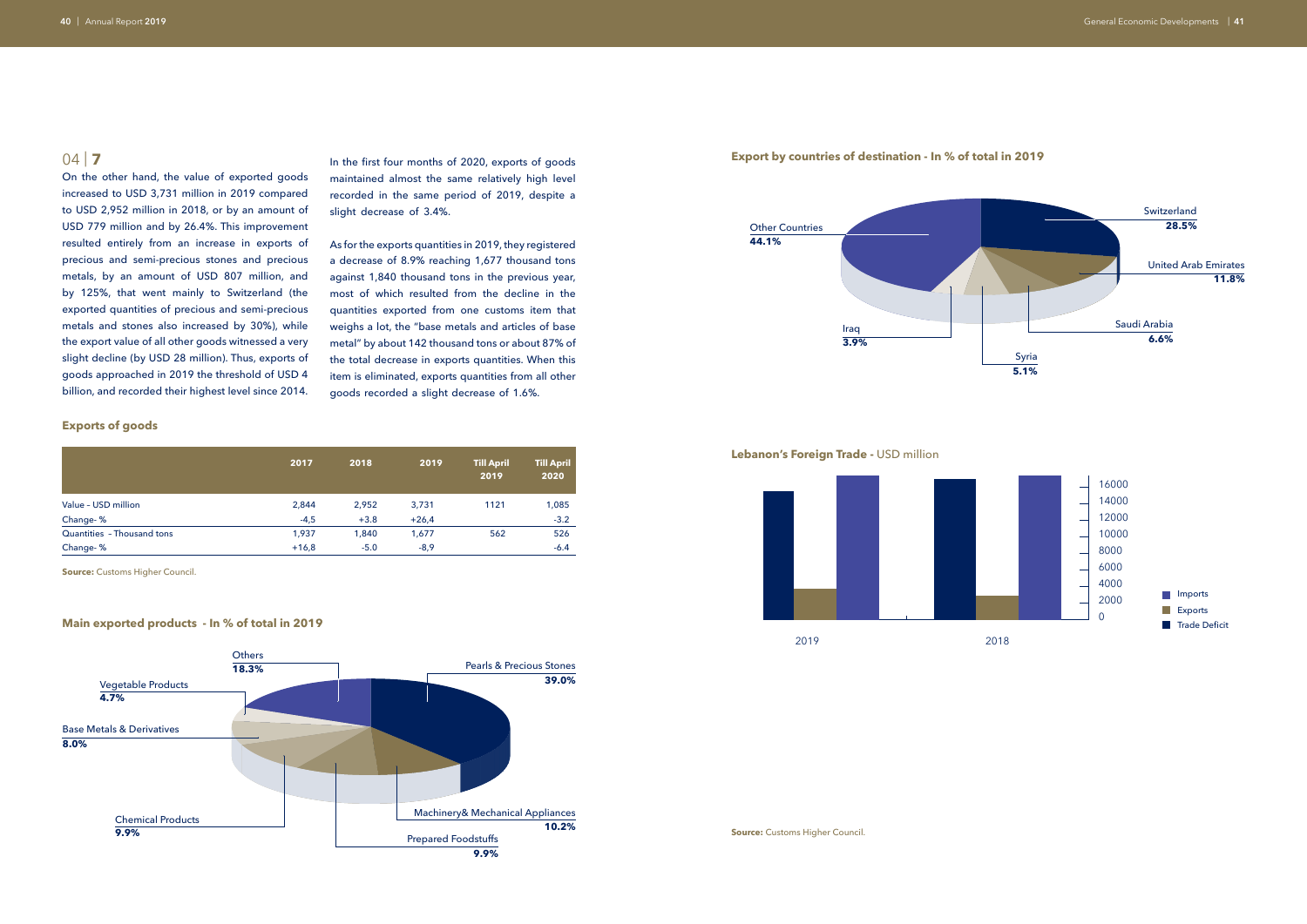On the other hand, the value of exported goods increased to USD 3,731 million in 2019 compared to USD 2,952 million in 2018, or by an amount of USD 779 million and by 26.4%. This improvement resulted entirely from an increase in exports of precious and semi-precious stones and precious metals, by an amount of USD 807 million, and by 125%, that went mainly to Switzerland (the exported quantities of precious and semi-precious metals and stones also increased by 30%), while the export value of all other goods witnessed a very slight decline (by USD 28 million). Thus, exports of goods approached in 2019 the threshold of USD 4 billion, and recorded their highest level since 2014.

In the first four months of 2020, exports of goods maintained almost the same relatively high level recorded in the same period of 2019, despite a slight decrease of 3.4%.

As for the exports quantities in 2019, they registered a decrease of 8.9% reaching 1,677 thousand tons against 1,840 thousand tons in the previous year, most of which resulted from the decline in the quantities exported from one customs item that weighs a lot, the "base metals and articles of base metal" by about 142 thousand tons or about 87% of the total decrease in exports quantities. When this item is eliminated, exports quantities from all other goods recorded a slight decrease of 1.6%.

### **Exports of goods**

|                            | 2017    | 2018   | 2019    | <b>Till April</b><br>2019 | <b>Till April</b><br>2020 |
|----------------------------|---------|--------|---------|---------------------------|---------------------------|
| Value - USD million        | 2,844   | 2,952  | 3,731   | 1121                      | 1,085                     |
| Change-%                   | $-4,5$  | $+3.8$ | $+26,4$ |                           | $-3.2$                    |
| Quantities - Thousand tons | 1,937   | 1,840  | 1,677   | 562                       | 526                       |
| Change-%                   | $+16,8$ | $-5.0$ | $-8,9$  |                           | $-6.4$                    |

**Source:** Customs Higher Council.

**Source:** Customs Higher Council.

### **Main exported products - In % of total in 2019**



### **Export by countries of destination - In % of total in 2019**



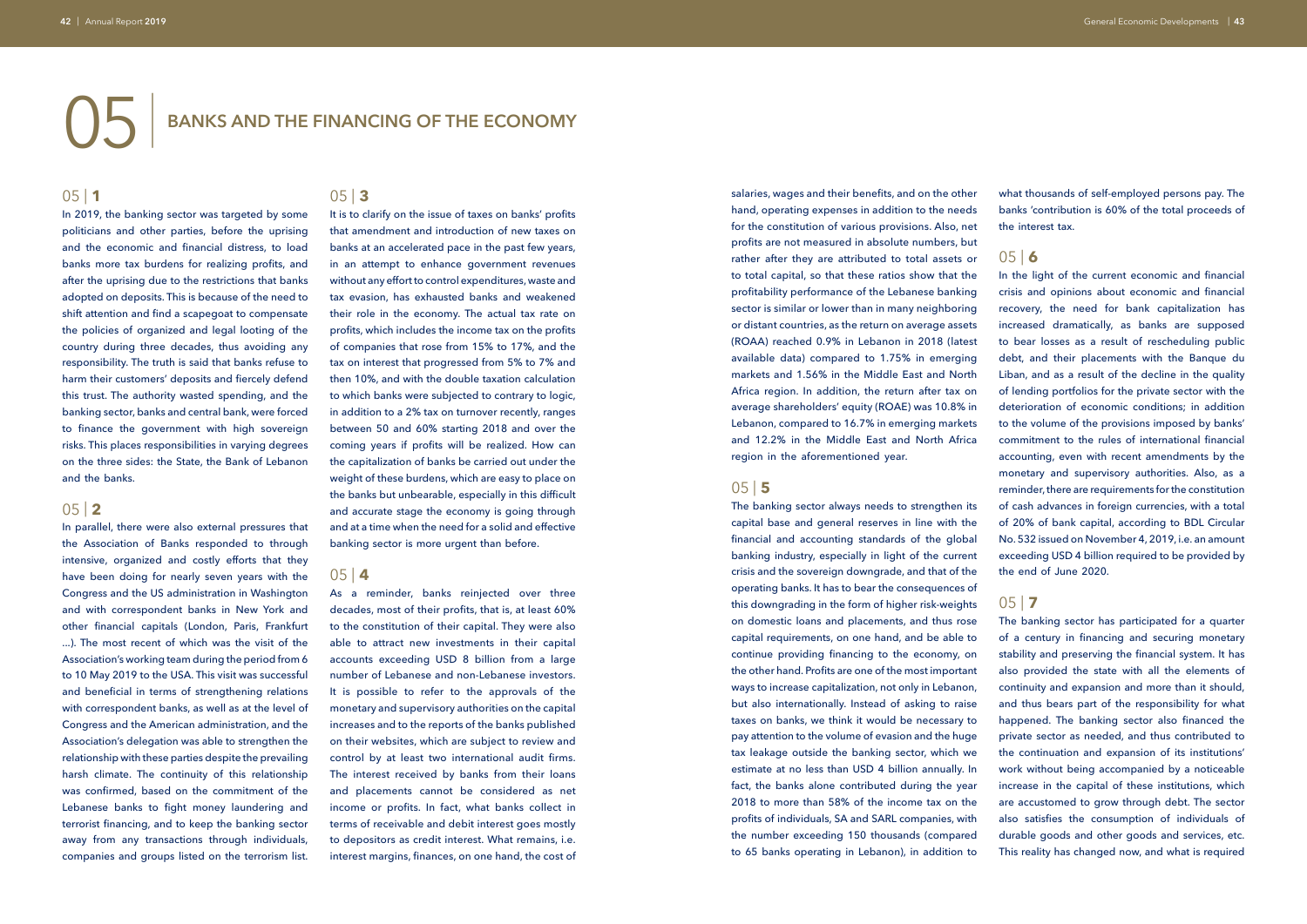# 05 | **BANKS AND THE FINANCING OF THE ECONOMY**

### 05 | **1**

In 2019, the banking sector was targeted by some politicians and other parties, before the uprising and the economic and financial distress, to load banks more tax burdens for realizing profits, and after the uprising due to the restrictions that banks adopted on deposits. This is because of the need to shift attention and find a scapegoat to compensate the policies of organized and legal looting of the country during three decades, thus avoiding any responsibility. The truth is said that banks refuse to harm their customers' deposits and fiercely defend this trust. The authority wasted spending, and the banking sector, banks and central bank, were forced to finance the government with high sovereign risks. This places responsibilities in varying degrees on the three sides: the State, the Bank of Lebanon and the banks.

### 05 | **2**

In parallel, there were also external pressures that the Association of Banks responded to through intensive, organized and costly efforts that they have been doing for nearly seven years with the Congress and the US administration in Washington and with correspondent banks in New York and other financial capitals (London, Paris, Frankfurt ...). The most recent of which was the visit of the Association's working team during the period from 6 to 10 May 2019 to the USA. This visit was successful and beneficial in terms of strengthening relations with correspondent banks, as well as at the level of Congress and the American administration, and the Association's delegation was able to strengthen the relationship with these parties despite the prevailing harsh climate. The continuity of this relationship was confirmed, based on the commitment of the Lebanese banks to fight money laundering and terrorist financing, and to keep the banking sector away from any transactions through individuals, companies and groups listed on the terrorism list.

### 05 | **3**

It is to clarify on the issue of taxes on banks' profits that amendment and introduction of new taxes on banks at an accelerated pace in the past few years, in an attempt to enhance government revenues without any effort to control expenditures, waste and tax evasion, has exhausted banks and weakened their role in the economy. The actual tax rate on profits, which includes the income tax on the profits of companies that rose from 15% to 17%, and the tax on interest that progressed from 5% to 7% and then 10%, and with the double taxation calculation to which banks were subjected to contrary to logic, in addition to a 2% tax on turnover recently, ranges between 50 and 60% starting 2018 and over the coming years if profits will be realized. How can the capitalization of banks be carried out under the weight of these burdens, which are easy to place on the banks but unbearable, especially in this difficult and accurate stage the economy is going through and at a time when the need for a solid and effective banking sector is more urgent than before.

### 05 | **4**

As a reminder, banks reinjected over three decades, most of their profits, that is, at least 60% to the constitution of their capital. They were also able to attract new investments in their capital accounts exceeding USD 8 billion from a large number of Lebanese and non-Lebanese investors. It is possible to refer to the approvals of the monetary and supervisory authorities on the capital increases and to the reports of the banks published on their websites, which are subject to review and control by at least two international audit firms. The interest received by banks from their loans and placements cannot be considered as net income or profits. In fact, what banks collect in terms of receivable and debit interest goes mostly to depositors as credit interest. What remains, i.e. interest margins, finances, on one hand, the cost of

salaries, wages and their benefits, and on the other hand, operating expenses in addition to the needs for the constitution of various provisions. Also, net profits are not measured in absolute numbers, but rather after they are attributed to total assets or to total capital, so that these ratios show that the profitability performance of the Lebanese banking sector is similar or lower than in many neighboring or distant countries, as the return on average assets (ROAA) reached 0.9% in Lebanon in 2018 (latest available data) compared to 1.75% in emerging markets and 1.56% in the Middle East and North Africa region. In addition, the return after tax on average shareholders' equity (ROAE) was 10.8% in Lebanon, compared to 16.7% in emerging markets and 12.2% in the Middle East and North Africa region in the aforementioned year.

### 05 | **5**

The banking sector always needs to strengthen its capital base and general reserves in line with the financial and accounting standards of the global banking industry, especially in light of the current crisis and the sovereign downgrade, and that of the operating banks. It has to bear the consequences of this downgrading in the form of higher risk-weights on domestic loans and placements, and thus rose capital requirements, on one hand, and be able to continue providing financing to the economy, on the other hand. Profits are one of the most important ways to increase capitalization, not only in Lebanon, but also internationally. Instead of asking to raise taxes on banks, we think it would be necessary to pay attention to the volume of evasion and the huge tax leakage outside the banking sector, which we estimate at no less than USD 4 billion annually. In fact, the banks alone contributed during the year 2018 to more than 58% of the income tax on the profits of individuals, SA and SARL companies, with the number exceeding 150 thousands (compared to 65 banks operating in Lebanon), in addition to

what thousands of self-employed persons pay. The banks 'contribution is 60% of the total proceeds of the interest tax.

# 05 | **6**

In the light of the current economic and financial crisis and opinions about economic and financial recovery, the need for bank capitalization has increased dramatically, as banks are supposed to bear losses as a result of rescheduling public debt, and their placements with the Banque du Liban, and as a result of the decline in the quality of lending portfolios for the private sector with the deterioration of economic conditions; in addition to the volume of the provisions imposed by banks' commitment to the rules of international financial accounting, even with recent amendments by the monetary and supervisory authorities. Also, as a reminder, there are requirements for the constitution of cash advances in foreign currencies, with a total of 20% of bank capital, according to BDL Circular No. 532 issued on November 4, 2019, i.e. an amount exceeding USD 4 billion required to be provided by the end of June 2020.

# 05 | **7**

The banking sector has participated for a quarter of a century in financing and securing monetary stability and preserving the financial system. It has also provided the state with all the elements of continuity and expansion and more than it should, and thus bears part of the responsibility for what happened. The banking sector also financed the private sector as needed, and thus contributed to the continuation and expansion of its institutions' work without being accompanied by a noticeable increase in the capital of these institutions, which are accustomed to grow through debt. The sector also satisfies the consumption of individuals of durable goods and other goods and services, etc. This reality has changed now, and what is required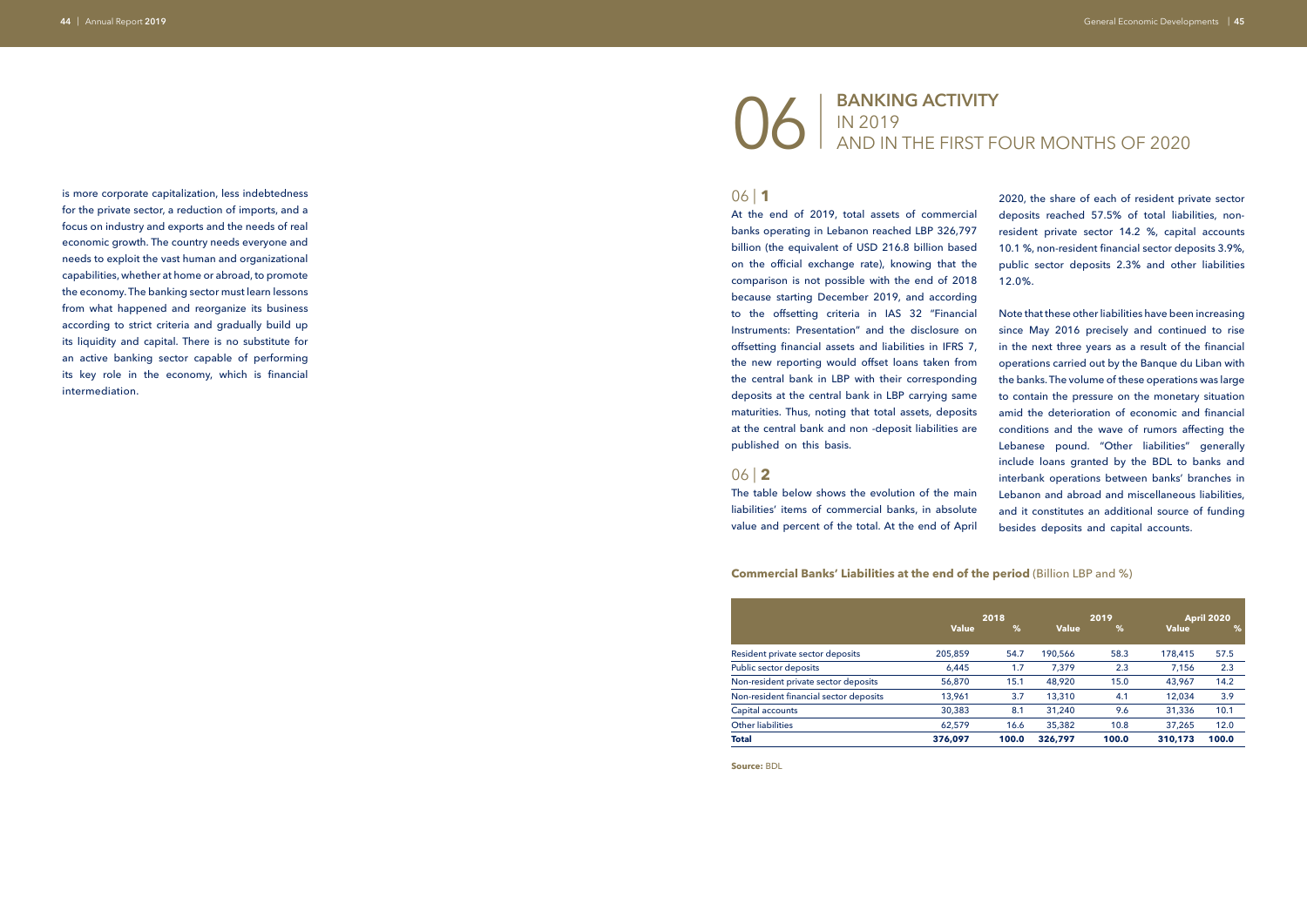is more corporate capitalization, less indebtedness for the private sector, a reduction of imports, and a focus on industry and exports and the needs of real economic growth. The country needs everyone and needs to exploit the vast human and organizational capabilities, whether at home or abroad, to promote the economy. The banking sector must learn lessons from what happened and reorganize its business according to strict criteria and gradually build up its liquidity and capital. There is no substitute for an active banking sector capable of performing its key role in the economy, which is financial intermediation.

# 06 | **BANKING ACTIVITY**  IN 2019 AND IN THE FIRST FOUR MONTHS OF 2020

### 06 | **1**

At the end of 2019, total assets of commercial banks operating in Lebanon reached LBP 326,797 billion (the equivalent of USD 216.8 billion based on the official exchange rate), knowing that the comparison is not possible with the end of 2018 because starting December 2019, and according to the offsetting criteria in IAS 32 "Financial Instruments: Presentation" and the disclosure on offsetting financial assets and liabilities in IFRS 7, the new reporting would offset loans taken from the central bank in LBP with their corresponding deposits at the central bank in LBP carrying same maturities. Thus, noting that total assets, deposits at the central bank and non -deposit liabilities are published on this basis.

### 06 | **2**

The table below shows the evolution of the main liabilities' items of commercial banks, in absolute value and percent of the total. At the end of April

### **Commercial Banks' Liabilities at the end of the period (Billion LBP and %)**

2020, the share of each of resident private sector deposits reached 57.5% of total liabilities, nonresident private sector 14.2 %, capital accounts 10.1 %, non-resident financial sector deposits 3.9%, public sector deposits 2.3% and other liabilities 12.0%.

Note that these other liabilities have been increasing since May 2016 precisely and continued to rise in the next three years as a result of the financial operations carried out by the Banque du Liban with the banks. The volume of these operations was large to contain the pressure on the monetary situation amid the deterioration of economic and financial conditions and the wave of rumors affecting the Lebanese pound. "Other liabilities" generally include loans granted by the BDL to banks and interbank operations between banks' branches in Lebanon and abroad and miscellaneous liabilities, and it constitutes an additional source of funding besides deposits and capital accounts.

|                                        | 2018         |       |              | 2019          | <b>April 2020</b> |       |
|----------------------------------------|--------------|-------|--------------|---------------|-------------------|-------|
|                                        | <b>Value</b> | %     | <b>Value</b> | $\frac{9}{6}$ | <b>Value</b>      | $\%$  |
| Resident private sector deposits       | 205,859      | 54.7  | 190,566      | 58.3          | 178,415           | 57.5  |
| Public sector deposits                 | 6,445        | 1.7   | 7,379        | 2.3           | 7,156             | 2.3   |
| Non-resident private sector deposits   | 56,870       | 15.1  | 48,920       | 15.0          | 43,967            | 14.2  |
| Non-resident financial sector deposits | 13,961       | 3.7   | 13,310       | 4.1           | 12,034            | 3.9   |
| Capital accounts                       | 30,383       | 8.1   | 31,240       | 9.6           | 31,336            | 10.1  |
| Other liabilities                      | 62,579       | 16.6  | 35,382       | 10.8          | 37,265            | 12.0  |
| Total                                  | 376,097      | 100.0 | 326,797      | 100.0         | 310,173           | 100.0 |
|                                        |              |       |              |               |                   |       |

**Source:** BDL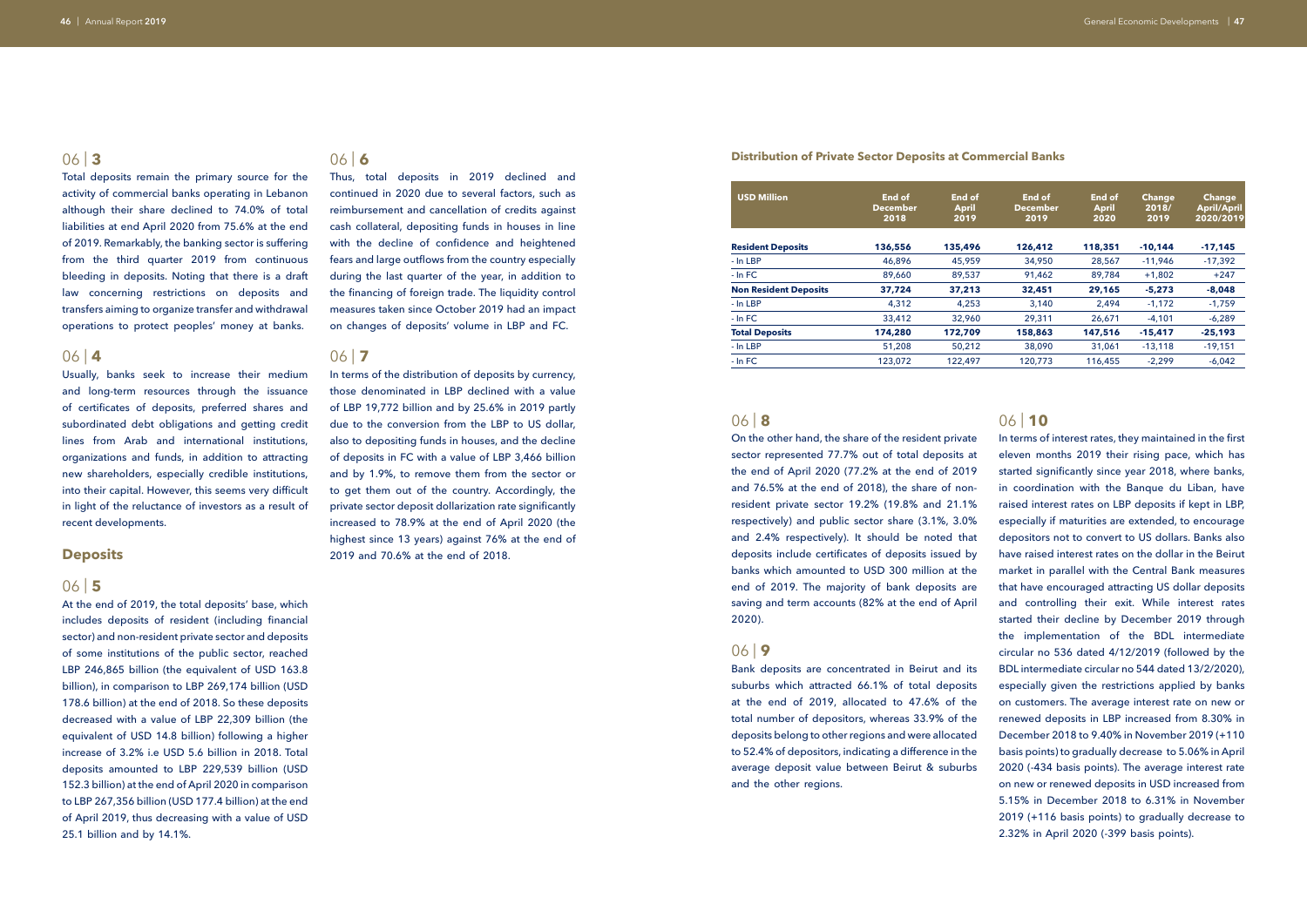Total deposits remain the primary source for the activity of commercial banks operating in Lebanon although their share declined to 74.0% of total liabilities at end April 2020 from 75.6% at the end of 2019. Remarkably, the banking sector is suffering from the third quarter 2019 from continuous bleeding in deposits. Noting that there is a draft law concerning restrictions on deposits and transfers aiming to organize transfer and withdrawal operations to protect peoples' money at banks.

### 06 | **4**

Usually, banks seek to increase their medium and long-term resources through the issuance of certificates of deposits, preferred shares and subordinated debt obligations and getting credit lines from Arab and international institutions, organizations and funds, in addition to attracting new shareholders, especially credible institutions, into their capital. However, this seems very difficult in light of the reluctance of investors as a result of recent developments.

### **Deposits**

### 06 | **5**

At the end of 2019, the total deposits' base, which includes deposits of resident (including financial sector) and non-resident private sector and deposits of some institutions of the public sector, reached LBP 246,865 billion (the equivalent of USD 163.8 billion), in comparison to LBP 269,174 billion (USD 178.6 billion) at the end of 2018. So these deposits decreased with a value of LBP 22,309 billion (the equivalent of USD 14.8 billion) following a higher increase of 3.2% i.e USD 5.6 billion in 2018. Total deposits amounted to LBP 229,539 billion (USD 152.3 billion) at the end of April 2020 in comparison to LBP 267,356 billion (USD 177.4 billion) at the end of April 2019, thus decreasing with a value of USD 25.1 billion and by 14.1%.

# 06 | **8**

In terms of the distribution of deposits by currency, those denominated in LBP declined with a value of LBP 19,772 billion and by 25.6% in 2019 partly due to the conversion from the LBP to US dollar, also to depositing funds in houses, and the decline of deposits in FC with a value of LBP 3,466 billion and by 1.9%, to remove them from the sector or to get them out of the country. Accordingly, the private sector deposit dollarization rate significantly increased to 78.9% at the end of April 2020 (the highest since 13 years) against 76% at the end of 2019 and 70.6% at the end of 2018.

On the other hand, the share of the resident private sector represented 77.7% out of total deposits at the end of April 2020 (77.2% at the end of 2019 and 76.5% at the end of 2018), the share of nonresident private sector 19.2% (19.8% and 21.1% respectively) and public sector share (3.1%, 3.0% and 2.4% respectively). It should be noted that deposits include certificates of deposits issued by banks which amounted to USD 300 million at the end of 2019. The majority of bank deposits are saving and term accounts (82% at the end of April 2020).

### 06 | **9**

Bank deposits are concentrated in Beirut and its suburbs which attracted 66.1% of total deposits at the end of 2019, allocated to 47.6% of the total number of depositors, whereas 33.9% of the deposits belong to other regions and were allocated to 52.4% of depositors, indicating a difference in the average deposit value between Beirut & suburbs and the other regions.

### 06 | **6**

Thus, total deposits in 2019 declined and continued in 2020 due to several factors, such as reimbursement and cancellation of credits against cash collateral, depositing funds in houses in line with the decline of confidence and heightened fears and large outflows from the country especially during the last quarter of the year, in addition to the financing of foreign trade. The liquidity control measures taken since October 2019 had an impact on changes of deposits' volume in LBP and FC.

### 06 | **7**

### **Distribution of Private Sector Deposits at Commercial Banks**

| <b>USD Million</b>           | End of<br><b>December</b><br>2018 | End of<br><b>April</b><br>2019 | End of<br><b>December</b><br>2019 | End of<br><b>April</b><br>2020 | <b>Change</b><br>2018/<br>2019 | <b>Change</b><br><b>April/April</b><br>2020/2019 |
|------------------------------|-----------------------------------|--------------------------------|-----------------------------------|--------------------------------|--------------------------------|--------------------------------------------------|
| <b>Resident Deposits</b>     | 136,556                           | 135,496                        | 126,412                           | 118,351                        | $-10.144$                      | $-17,145$                                        |
| - In LBP                     | 46,896                            | 45,959                         | 34,950                            | 28,567                         | $-11,946$                      | $-17,392$                                        |
| $-$ In FC                    | 89,660                            | 89,537                         | 91,462                            | 89,784                         | $+1,802$                       | $+247$                                           |
| <b>Non Resident Deposits</b> | 37,724                            | 37,213                         | 32,451                            | 29,165                         | $-5,273$                       | $-8,048$                                         |
| - In LBP                     | 4,312                             | 4,253                          | 3,140                             | 2,494                          | $-1,172$                       | $-1,759$                                         |
| $-$ In FC                    | 33,412                            | 32,960                         | 29,311                            | 26,671                         | $-4,101$                       | $-6,289$                                         |
| <b>Total Deposits</b>        | 174,280                           | 172.709                        | 158,863                           | 147,516                        | $-15.417$                      | $-25,193$                                        |
| - In LBP                     | 51,208                            | 50,212                         | 38,090                            | 31,061                         | $-13,118$                      | $-19,151$                                        |
| $-$ In FC                    | 123,072                           | 122,497                        | 120,773                           | 116,455                        | $-2,299$                       | $-6,042$                                         |

### 06 | **10**

In terms of interest rates, they maintained in the first eleven months 2019 their rising pace, which has started significantly since year 2018, where banks, in coordination with the Banque du Liban, have raised interest rates on LBP deposits if kept in LBP, especially if maturities are extended, to encourage depositors not to convert to US dollars. Banks also have raised interest rates on the dollar in the Beirut market in parallel with the Central Bank measures that have encouraged attracting US dollar deposits and controlling their exit. While interest rates started their decline by December 2019 through the implementation of the BDL intermediate circular no 536 dated 4/12/2019 (followed by the BDL intermediate circular no 544 dated 13/2/2020), especially given the restrictions applied by banks on customers. The average interest rate on new or renewed deposits in LBP increased from 8.30% in December 2018 to 9.40% in November 2019 (+110 basis points) to gradually decrease to 5.06% in April 2020 (-434 basis points). The average interest rate on new or renewed deposits in USD increased from 5.15% in December 2018 to 6.31% in November 2019 (+116 basis points) to gradually decrease to 2.32% in April 2020 (-399 basis points).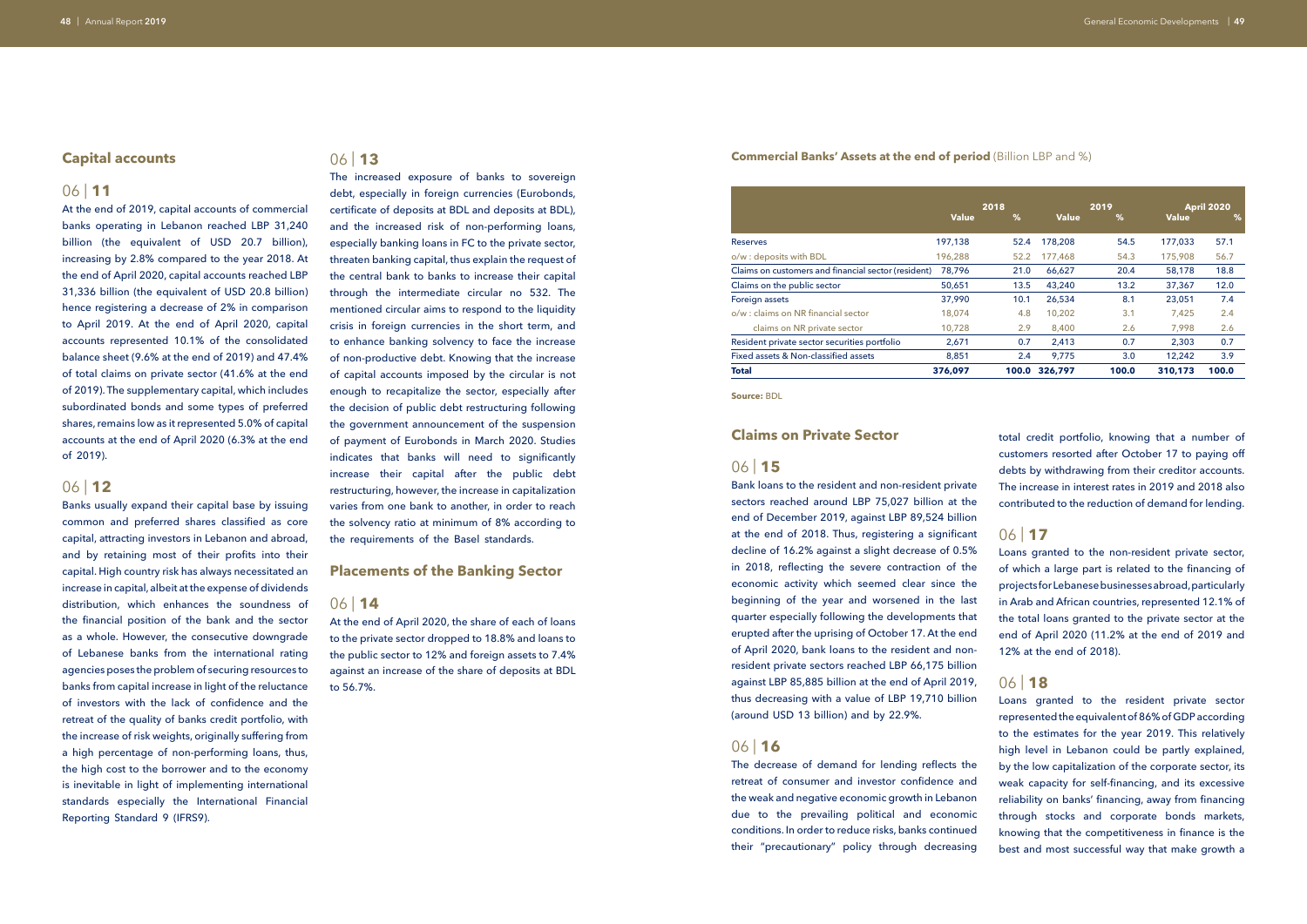### **Capital accounts**

### 06 | **11**

At the end of 2019, capital accounts of commercial banks operating in Lebanon reached LBP 31,240 billion (the equivalent of USD 20.7 billion), increasing by 2.8% compared to the year 2018. At the end of April 2020, capital accounts reached LBP 31,336 billion (the equivalent of USD 20.8 billion) hence registering a decrease of 2% in comparison to April 2019. At the end of April 2020, capital accounts represented 10.1% of the consolidated balance sheet (9.6% at the end of 2019) and 47.4% of total claims on private sector (41.6% at the end of 2019). The supplementary capital, which includes subordinated bonds and some types of preferred shares, remains low as it represented 5.0% of capital accounts at the end of April 2020 (6.3% at the end of 2019).

### 06 | **12**

Banks usually expand their capital base by issuing common and preferred shares classified as core capital, attracting investors in Lebanon and abroad, and by retaining most of their profits into their capital. High country risk has always necessitated an increase in capital, albeit at the expense of dividends distribution, which enhances the soundness of the financial position of the bank and the sector as a whole. However, the consecutive downgrade of Lebanese banks from the international rating agencies poses the problem of securing resources to banks from capital increase in light of the reluctance of investors with the lack of confidence and the retreat of the quality of banks credit portfolio, with the increase of risk weights, originally suffering from a high percentage of non-performing loans, thus, the high cost to the borrower and to the economy is inevitable in light of implementing international standards especially the International Financial Reporting Standard 9 (IFRS9).

### 06 | **13**

The increased exposure of banks to sovereign debt, especially in foreign currencies (Eurobonds, certificate of deposits at BDL and deposits at BDL), and the increased risk of non-performing loans, especially banking loans in FC to the private sector, threaten banking capital, thus explain the request of the central bank to banks to increase their capital through the intermediate circular no 532. The mentioned circular aims to respond to the liquidity crisis in foreign currencies in the short term, and to enhance banking solvency to face the increase of non-productive debt. Knowing that the increase of capital accounts imposed by the circular is not enough to recapitalize the sector, especially after the decision of public debt restructuring following the government announcement of the suspension of payment of Eurobonds in March 2020. Studies indicates that banks will need to significantly increase their capital after the public debt restructuring, however, the increase in capitalization varies from one bank to another, in order to reach the solvency ratio at minimum of 8% according to the requirements of the Basel standards.

### **Placements of the Banking Sector**

### 06 | **14**

At the end of April 2020, the share of each of loans to the private sector dropped to 18.8% and loans to the public sector to 12% and foreign assets to 7.4% against an increase of the share of deposits at BDL to 56.7%.

### **Commercial Banks' Assets at the end of period** (Billion LBP and %)

### **Claims on Private Sector**

### 06 | **15**

Bank loans to the resident and non-resident private sectors reached around LBP 75,027 billion at the end of December 2019, against LBP 89,524 billion at the end of 2018. Thus, registering a significant decline of 16.2% against a slight decrease of 0.5% in 2018, reflecting the severe contraction of the economic activity which seemed clear since the beginning of the year and worsened in the last quarter especially following the developments that erupted after the uprising of October 17. At the end of April 2020, bank loans to the resident and nonresident private sectors reached LBP 66,175 billion against LBP 85,885 billion at the end of April 2019, thus decreasing with a value of LBP 19,710 billion (around USD 13 billion) and by 22.9%.

### 06 | **16**

The decrease of demand for lending reflects the retreat of consumer and investor confidence and the weak and negative economic growth in Lebanon due to the prevailing political and economic conditions. In order to reduce risks, banks continued their "precautionary" policy through decreasing

|                                                     |              | 2018          |              | 2019  | <b>April 2020</b> |       |  |
|-----------------------------------------------------|--------------|---------------|--------------|-------|-------------------|-------|--|
|                                                     | <b>Value</b> | $\frac{9}{6}$ | <b>Value</b> | %     | <b>Value</b>      | %     |  |
| <b>Reserves</b>                                     | 197,138      | 52.4          | 178,208      | 54.5  | 177,033           | 57.1  |  |
| o/w : deposits with BDL                             | 196,288      | 52.2          | 177,468      | 54.3  | 175,908           | 56.7  |  |
| Claims on customers and financial sector (resident) | 78,796       | 21.0          | 66,627       | 20.4  | 58,178            | 18.8  |  |
| Claims on the public sector                         | 50,651       | 13.5          | 43,240       | 13.2  | 37,367            | 12.0  |  |
| Foreign assets                                      | 37,990       | 10.1          | 26,534       | 8.1   | 23,051            | 7.4   |  |
| o/w : claims on NR financial sector                 | 18,074       | 4.8           | 10,202       | 3.1   | 7,425             | 2.4   |  |
| claims on NR private sector                         | 10,728       | 2.9           | 8,400        | 2.6   | 7,998             | 2.6   |  |
| Resident private sector securities portfolio        | 2,671        | 0.7           | 2,413        | 0.7   | 2,303             | 0.7   |  |
| Fixed assets & Non-classified assets                | 8,851        | 2.4           | 9,775        | 3.0   | 12,242            | 3.9   |  |
| <b>Total</b>                                        | 376,097      | 100.0         | 326,797      | 100.0 | 310,173           | 100.0 |  |

**Source:** BDL

total credit portfolio, knowing that a number of customers resorted after October 17 to paying off debts by withdrawing from their creditor accounts. The increase in interest rates in 2019 and 2018 also contributed to the reduction of demand for lending.

### 06 | **17**

Loans granted to the non-resident private sector, of which a large part is related to the financing of projects for Lebanese businesses abroad, particularly in Arab and African countries, represented 12.1% of the total loans granted to the private sector at the end of April 2020 (11.2% at the end of 2019 and 12% at the end of 2018).

### 06 | **18**

Loans granted to the resident private sector represented the equivalent of 86% of GDP according to the estimates for the year 2019. This relatively high level in Lebanon could be partly explained, by the low capitalization of the corporate sector, its weak capacity for self-financing, and its excessive reliability on banks' financing, away from financing through stocks and corporate bonds markets, knowing that the competitiveness in finance is the best and most successful way that make growth a